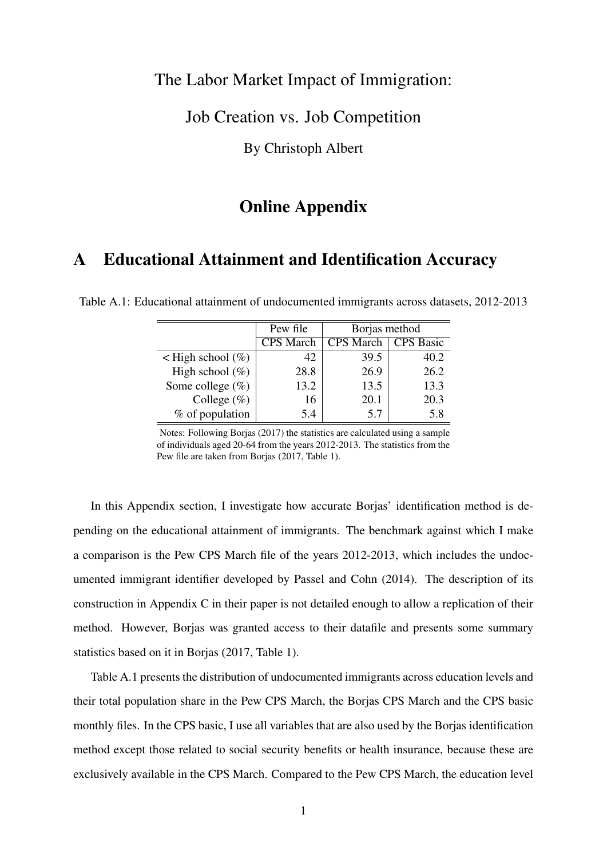### The Labor Market Impact of Immigration:

### Job Creation vs. Job Competition

By Christoph Albert

### Online Appendix

# A Educational Attainment and Identification Accuracy

|                           | Pew file         | Borjas method |           |  |
|---------------------------|------------------|---------------|-----------|--|
|                           | <b>CPS</b> March | CPS March     | CPS Basic |  |
| $\leq$ High school $(\%)$ | 42               | 39.5          | 40.2      |  |
| High school $(\%)$        | 28.8             | 26.9          | 26.2      |  |
| Some college $(\%)$       | 13.2             | 13.5          | 13.3      |  |
| College $(\%)$            | 16               | 20.1          | 20.3      |  |
| % of population           | 5.4              | 5.7           | 5.8       |  |

Table A.1: Educational attainment of undocumented immigrants across datasets, 2012-2013

Notes: Following Borjas (2017) the statistics are calculated using a sample of individuals aged 20-64 from the years 2012-2013. The statistics from the Pew file are taken from Borjas (2017, Table 1).

In this Appendix section, I investigate how accurate Borjas' identification method is depending on the educational attainment of immigrants. The benchmark against which I make a comparison is the Pew CPS March file of the years 2012-2013, which includes the undocumented immigrant identifier developed by Passel and Cohn (2014). The description of its construction in Appendix C in their paper is not detailed enough to allow a replication of their method. However, Borjas was granted access to their datafile and presents some summary statistics based on it in Borjas (2017, Table 1).

Table A.1 presents the distribution of undocumented immigrants across education levels and their total population share in the Pew CPS March, the Borjas CPS March and the CPS basic monthly files. In the CPS basic, I use all variables that are also used by the Borjas identification method except those related to social security benefits or health insurance, because these are exclusively available in the CPS March. Compared to the Pew CPS March, the education level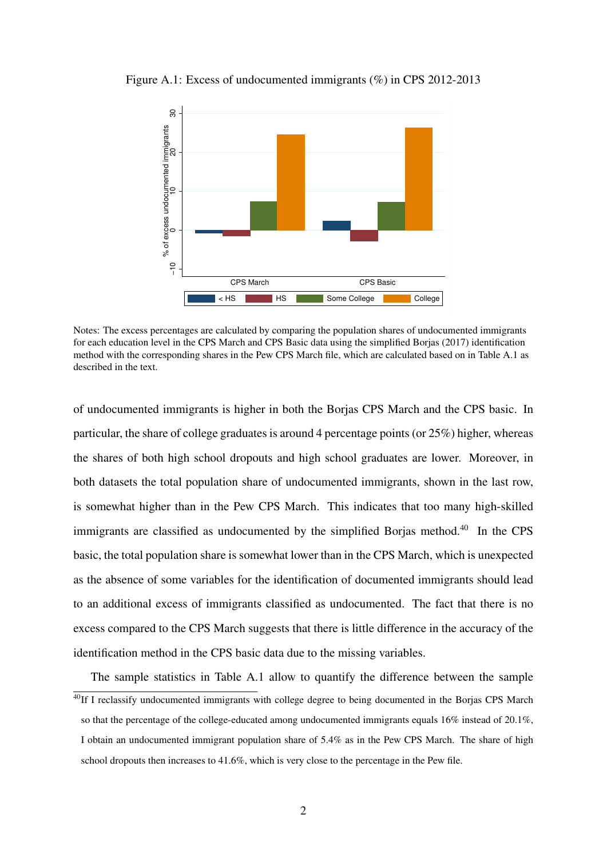

Figure A.1: Excess of undocumented immigrants (%) in CPS 2012-2013

Notes: The excess percentages are calculated by comparing the population shares of undocumented immigrants for each education level in the CPS March and CPS Basic data using the simplified Borjas (2017) identification method with the corresponding shares in the Pew CPS March file, which are calculated based on in Table A.1 as described in the text.

of undocumented immigrants is higher in both the Borjas CPS March and the CPS basic. In particular, the share of college graduates is around 4 percentage points (or 25%) higher, whereas the shares of both high school dropouts and high school graduates are lower. Moreover, in both datasets the total population share of undocumented immigrants, shown in the last row, is somewhat higher than in the Pew CPS March. This indicates that too many high-skilled immigrants are classified as undocumented by the simplified Borjas method.<sup>40</sup> In the CPS basic, the total population share is somewhat lower than in the CPS March, which is unexpected as the absence of some variables for the identification of documented immigrants should lead to an additional excess of immigrants classified as undocumented. The fact that there is no excess compared to the CPS March suggests that there is little difference in the accuracy of the identification method in the CPS basic data due to the missing variables.

The sample statistics in Table A.1 allow to quantify the difference between the sample  $40$ If I reclassify undocumented immigrants with college degree to being documented in the Borjas CPS March so that the percentage of the college-educated among undocumented immigrants equals 16% instead of 20.1%, I obtain an undocumented immigrant population share of 5.4% as in the Pew CPS March. The share of high school dropouts then increases to 41.6%, which is very close to the percentage in the Pew file.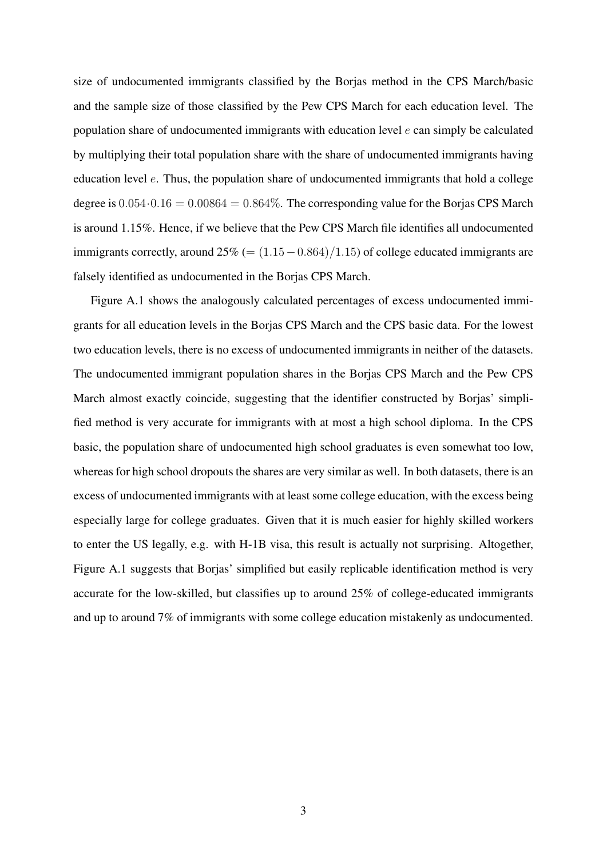size of undocumented immigrants classified by the Borjas method in the CPS March/basic and the sample size of those classified by the Pew CPS March for each education level. The population share of undocumented immigrants with education level *e* can simply be calculated by multiplying their total population share with the share of undocumented immigrants having education level *e*. Thus, the population share of undocumented immigrants that hold a college degree is  $0.054 \cdot 0.16 = 0.00864 = 0.864\%$ . The corresponding value for the Borjas CPS March is around 1.15%. Hence, if we believe that the Pew CPS March file identifies all undocumented immigrants correctly, around  $25\%$  (=  $(1.15-0.864)/1.15$ ) of college educated immigrants are falsely identified as undocumented in the Borjas CPS March.

Figure A.1 shows the analogously calculated percentages of excess undocumented immigrants for all education levels in the Borjas CPS March and the CPS basic data. For the lowest two education levels, there is no excess of undocumented immigrants in neither of the datasets. The undocumented immigrant population shares in the Borjas CPS March and the Pew CPS March almost exactly coincide, suggesting that the identifier constructed by Borjas' simplified method is very accurate for immigrants with at most a high school diploma. In the CPS basic, the population share of undocumented high school graduates is even somewhat too low, whereas for high school dropouts the shares are very similar as well. In both datasets, there is an excess of undocumented immigrants with at least some college education, with the excess being especially large for college graduates. Given that it is much easier for highly skilled workers to enter the US legally, e.g. with H-1B visa, this result is actually not surprising. Altogether, Figure A.1 suggests that Borjas' simplified but easily replicable identification method is very accurate for the low-skilled, but classifies up to around 25% of college-educated immigrants and up to around 7% of immigrants with some college education mistakenly as undocumented.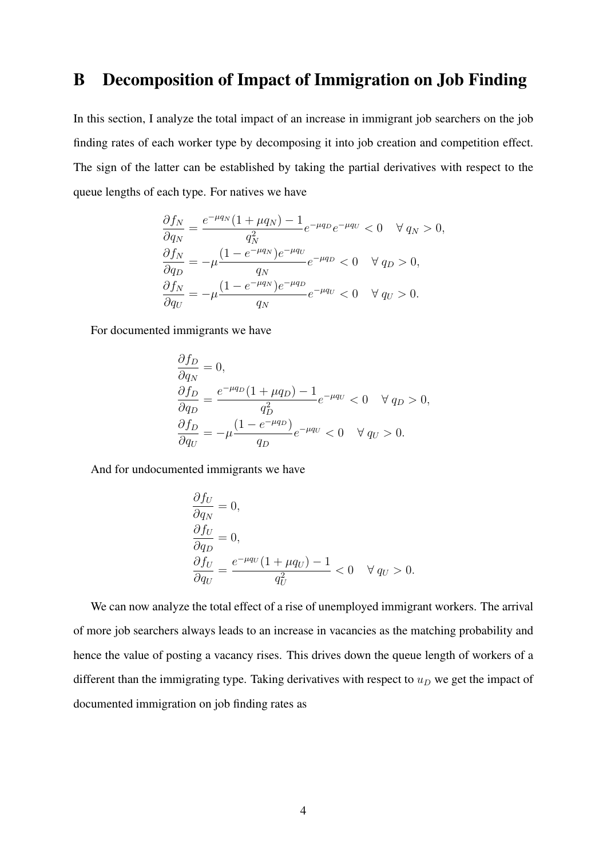# B Decomposition of Impact of Immigration on Job Finding

In this section, I analyze the total impact of an increase in immigrant job searchers on the job finding rates of each worker type by decomposing it into job creation and competition effect. The sign of the latter can be established by taking the partial derivatives with respect to the queue lengths of each type. For natives we have

$$
\frac{\partial f_N}{\partial q_N} = \frac{e^{-\mu q_N} (1 + \mu q_N) - 1}{q_N^2} e^{-\mu q_D} e^{-\mu q_U} < 0 \quad \forall q_N > 0,
$$
\n
$$
\frac{\partial f_N}{\partial q_D} = -\mu \frac{(1 - e^{-\mu q_N}) e^{-\mu q_U}}{q_N} e^{-\mu q_D} < 0 \quad \forall q_D > 0,
$$
\n
$$
\frac{\partial f_N}{\partial q_U} = -\mu \frac{(1 - e^{-\mu q_N}) e^{-\mu q_D}}{q_N} e^{-\mu q_U} < 0 \quad \forall q_U > 0.
$$

For documented immigrants we have

$$
\frac{\partial f_D}{\partial q_N} = 0,
$$
  
\n
$$
\frac{\partial f_D}{\partial q_D} = \frac{e^{-\mu q_D} (1 + \mu q_D) - 1}{q_D^2} e^{-\mu q_U} < 0 \quad \forall q_D > 0,
$$
  
\n
$$
\frac{\partial f_D}{\partial q_U} = -\mu \frac{(1 - e^{-\mu q_D})}{q_D} e^{-\mu q_U} < 0 \quad \forall q_U > 0.
$$

And for undocumented immigrants we have

$$
\frac{\partial f_U}{\partial q_N} = 0,
$$
  
\n
$$
\frac{\partial f_U}{\partial q_D} = 0,
$$
  
\n
$$
\frac{\partial f_U}{\partial q_U} = \frac{e^{-\mu q_U} (1 + \mu q_U) - 1}{q_U^2} < 0 \quad \forall q_U > 0.
$$

We can now analyze the total effect of a rise of unemployed immigrant workers. The arrival of more job searchers always leads to an increase in vacancies as the matching probability and hence the value of posting a vacancy rises. This drives down the queue length of workers of a different than the immigrating type. Taking derivatives with respect to  $u<sub>D</sub>$  we get the impact of documented immigration on job finding rates as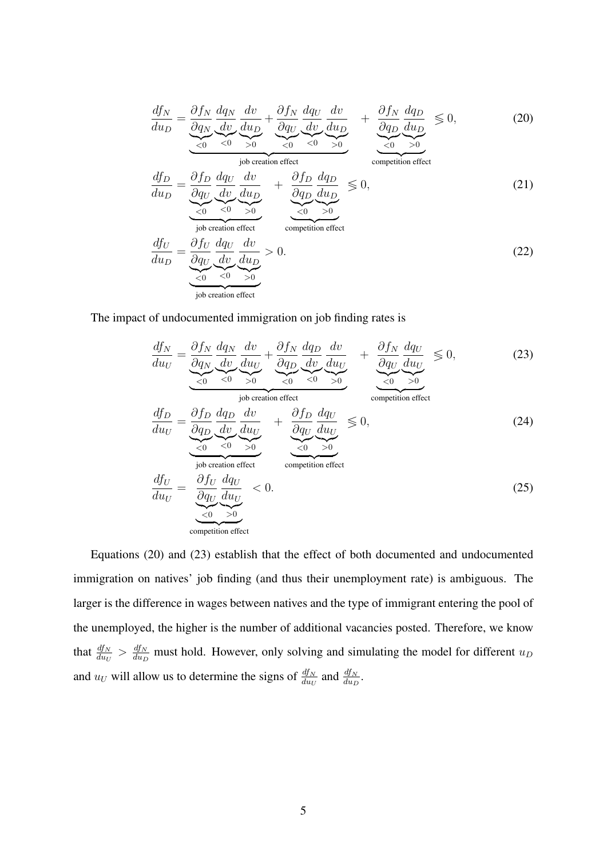$$
\frac{df_N}{du_D} = \underbrace{\frac{\partial f_N}{\partial q_N} \frac{dq_N}{dv} \frac{dv}{du_D}}_{\leq 0} + \underbrace{\frac{\partial f_N}{\partial q_U} \frac{dq_U}{dv} \frac{dv}{du_D}}_{\leq 0} + \underbrace{\frac{\partial f_N}{\partial q_D} \frac{dq_D}{du_D}}_{\leq 0} \leq 0, \tag{20}
$$

competition effect

$$
\frac{df_D}{du_D} = \underbrace{\frac{\partial f_D}{\partial q_U}}_{\leq 0} \underbrace{\frac{dq_U}{dv}}_{\leq 0} \underbrace{\frac{dv}{du_D}}_{\geq 0} + \underbrace{\frac{\partial f_D}{\partial q_D}}_{\leq 0} \underbrace{\frac{dq_D}{du_D}}_{\geq 0} \leq 0, \tag{21}
$$

$$
\frac{df_U}{du_D} = \underbrace{\frac{\partial f_U}{\partial q_U} \frac{dq_U}{dv} \frac{dv}{du_D}}_{\text{job creation effect}} > 0.
$$
\n(22)

The impact of undocumented immigration on job finding rates is

job creation effect

$$
\frac{df_N}{du_U} = \underbrace{\frac{\partial f_N}{\partial q_N} \frac{dq_N}{dv} \frac{dv}{du_U}}_{\text{job creation effect}} + \underbrace{\frac{\partial f_N}{\partial q_D} \frac{dq_D}{dv} \frac{dv}{du_U}}_{\text{job creation effect}} + \underbrace{\frac{\partial f_N}{\partial q_U} \frac{dq_U}{du_U}}_{\text{competition effect}} \le 0, \tag{23}
$$
\n
$$
\frac{df_D}{du_U} = \underbrace{\frac{\partial f_D}{\partial q_D} \frac{dq_D}{dv} \frac{dv}{du_U}}_{\text{job creation effect}} + \underbrace{\frac{\partial f_D}{\partial q_U} \frac{dq_U}{du_U}}_{\text{competition effect}} \le 0, \tag{24}
$$
\n
$$
\frac{df_U}{du_U} = \underbrace{\frac{\partial f_U}{\partial q_U} \frac{dq_U}{du_U}}_{\text{job creation effect}} &\text{completion effect}
$$
\n
$$
\frac{df_U}{du_U} = \underbrace{\frac{\partial f_U}{\partial q_U} \frac{dq_U}{du_U}}_{\text{topetition effect}} < 0. \tag{25}
$$

$$
\frac{df_U}{du_U} = \underbrace{\underbrace{\partial f_U}_{\partial q_U} \underbrace{dq_U}_{\text{competition effect}}}_{\text{ competition effect}} < 0. \tag{25}
$$

Equations (20) and (23) establish that the effect of both documented and undocumented immigration on natives' job finding (and thus their unemployment rate) is ambiguous. The larger is the difference in wages between natives and the type of immigrant entering the pool of the unemployed, the higher is the number of additional vacancies posted. Therefore, we know that  $\frac{df_N}{du_U} > \frac{df_N}{du_D}$  must hold. However, only solving and simulating the model for different  $u_D$ and  $u_U$  will allow us to determine the signs of  $\frac{df_N}{du_U}$  and  $\frac{df_N}{du_D}$ .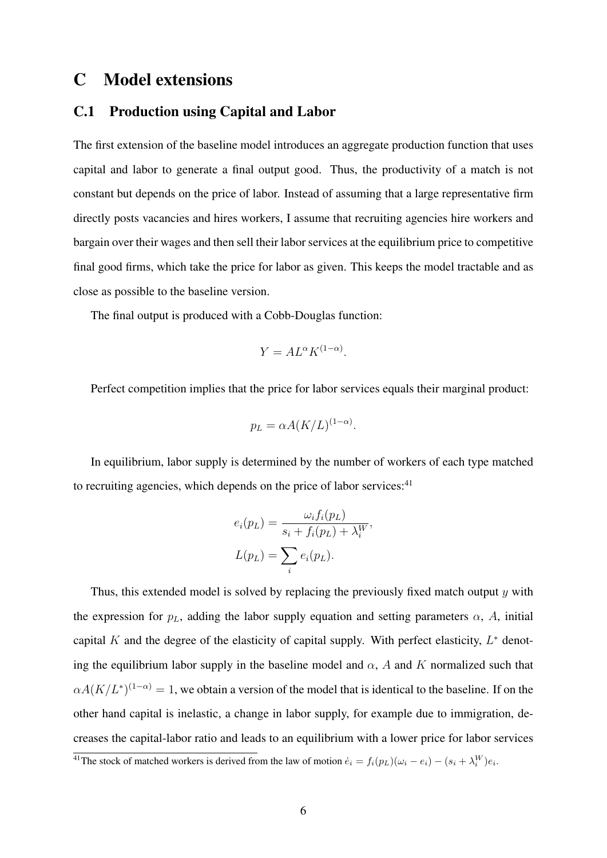# C Model extensions

#### C.1 Production using Capital and Labor

The first extension of the baseline model introduces an aggregate production function that uses capital and labor to generate a final output good. Thus, the productivity of a match is not constant but depends on the price of labor. Instead of assuming that a large representative firm directly posts vacancies and hires workers, I assume that recruiting agencies hire workers and bargain over their wages and then sell their labor services at the equilibrium price to competitive final good firms, which take the price for labor as given. This keeps the model tractable and as close as possible to the baseline version.

The final output is produced with a Cobb-Douglas function:

$$
Y = AL^{\alpha}K^{(1-\alpha)}.
$$

Perfect competition implies that the price for labor services equals their marginal product:

$$
p_L = \alpha A (K/L)^{(1-\alpha)}.
$$

In equilibrium, labor supply is determined by the number of workers of each type matched to recruiting agencies, which depends on the price of labor services: $41$ 

$$
e_i(p_L) = \frac{\omega_i f_i(p_L)}{s_i + f_i(p_L) + \lambda_i^W},
$$
  

$$
L(p_L) = \sum_i e_i(p_L).
$$

Thus, this extended model is solved by replacing the previously fixed match output *y* with the expression for  $p<sub>L</sub>$ , adding the labor supply equation and setting parameters  $\alpha$ , *A*, initial capital *K* and the degree of the elasticity of capital supply. With perfect elasticity,  $L^*$  denoting the equilibrium labor supply in the baseline model and  $\alpha$ , *A* and *K* normalized such that  $\alpha A(K/L^*)^{(1-\alpha)} = 1$ , we obtain a version of the model that is identical to the baseline. If on the other hand capital is inelastic, a change in labor supply, for example due to immigration, decreases the capital-labor ratio and leads to an equilibrium with a lower price for labor services

<sup>&</sup>lt;sup>41</sup>The stock of matched workers is derived from the law of motion  $\dot{e}_i = f_i(p_L)(\omega_i - e_i) - (s_i + \lambda_i^W)e_i$ .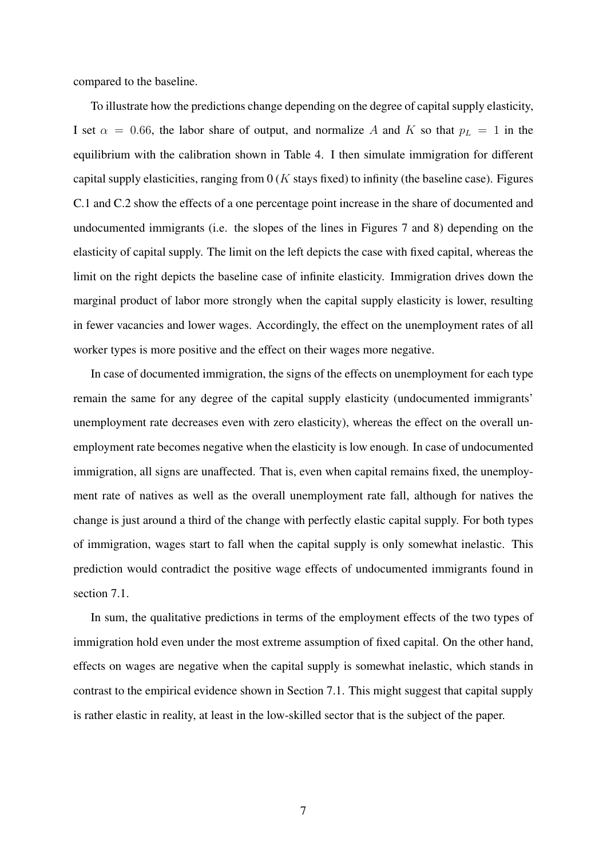compared to the baseline.

To illustrate how the predictions change depending on the degree of capital supply elasticity, I set  $\alpha = 0.66$ , the labor share of output, and normalize *A* and *K* so that  $p_L = 1$  in the equilibrium with the calibration shown in Table 4. I then simulate immigration for different capital supply elasticities, ranging from 0 (*K* stays fixed) to infinity (the baseline case). Figures C.1 and C.2 show the effects of a one percentage point increase in the share of documented and undocumented immigrants (i.e. the slopes of the lines in Figures 7 and 8) depending on the elasticity of capital supply. The limit on the left depicts the case with fixed capital, whereas the limit on the right depicts the baseline case of infinite elasticity. Immigration drives down the marginal product of labor more strongly when the capital supply elasticity is lower, resulting in fewer vacancies and lower wages. Accordingly, the effect on the unemployment rates of all worker types is more positive and the effect on their wages more negative.

In case of documented immigration, the signs of the effects on unemployment for each type remain the same for any degree of the capital supply elasticity (undocumented immigrants' unemployment rate decreases even with zero elasticity), whereas the effect on the overall unemployment rate becomes negative when the elasticity is low enough. In case of undocumented immigration, all signs are unaffected. That is, even when capital remains fixed, the unemployment rate of natives as well as the overall unemployment rate fall, although for natives the change is just around a third of the change with perfectly elastic capital supply. For both types of immigration, wages start to fall when the capital supply is only somewhat inelastic. This prediction would contradict the positive wage effects of undocumented immigrants found in section 7.1.

In sum, the qualitative predictions in terms of the employment effects of the two types of immigration hold even under the most extreme assumption of fixed capital. On the other hand, effects on wages are negative when the capital supply is somewhat inelastic, which stands in contrast to the empirical evidence shown in Section 7.1. This might suggest that capital supply is rather elastic in reality, at least in the low-skilled sector that is the subject of the paper.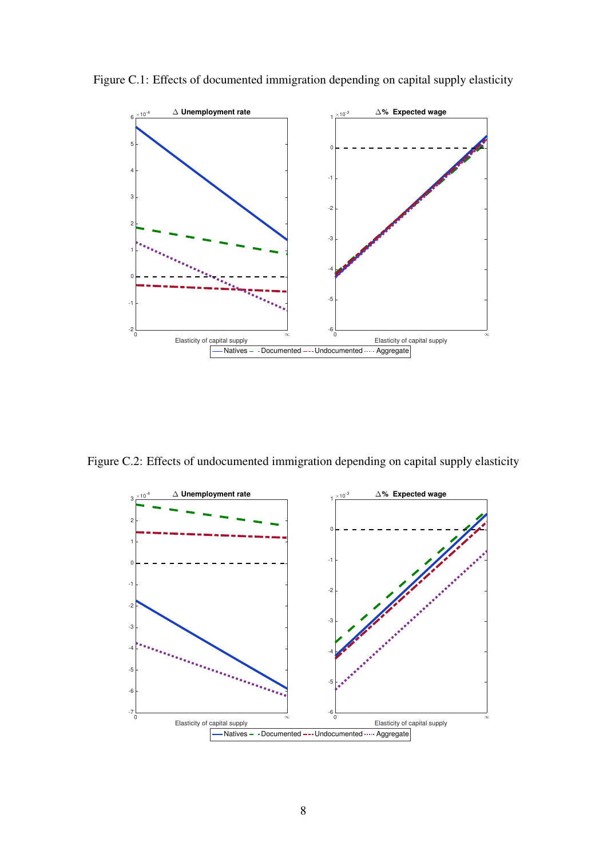

Figure C.1: Effects of documented immigration depending on capital supply elasticity

Figure C.2: Effects of undocumented immigration depending on capital supply elasticity

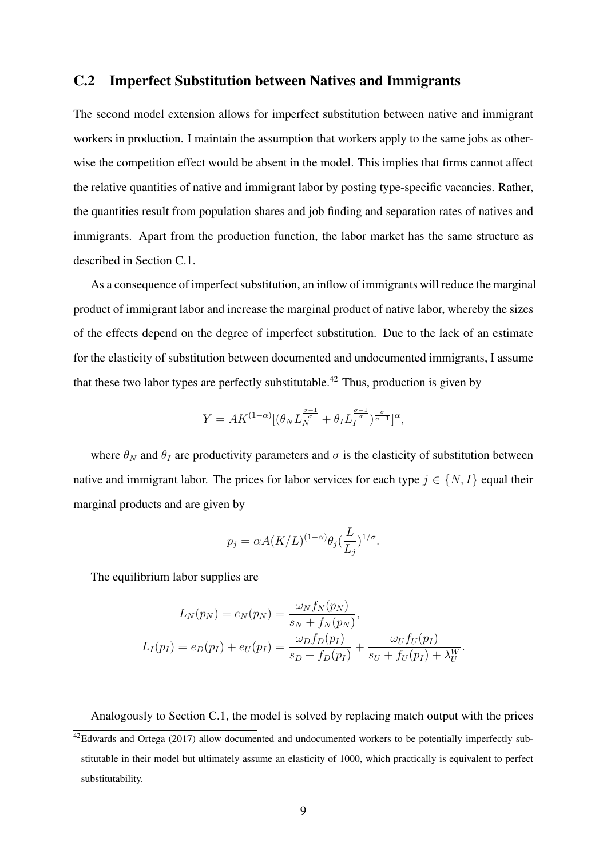#### C.2 Imperfect Substitution between Natives and Immigrants

The second model extension allows for imperfect substitution between native and immigrant workers in production. I maintain the assumption that workers apply to the same jobs as otherwise the competition effect would be absent in the model. This implies that firms cannot affect the relative quantities of native and immigrant labor by posting type-specific vacancies. Rather, the quantities result from population shares and job finding and separation rates of natives and immigrants. Apart from the production function, the labor market has the same structure as described in Section C.1.

As a consequence of imperfect substitution, an inflow of immigrants will reduce the marginal product of immigrant labor and increase the marginal product of native labor, whereby the sizes of the effects depend on the degree of imperfect substitution. Due to the lack of an estimate for the elasticity of substitution between documented and undocumented immigrants, I assume that these two labor types are perfectly substitutable.<sup>42</sup> Thus, production is given by

$$
Y = AK^{(1-\alpha)}[(\theta_N L_N^{\frac{\sigma-1}{\sigma}} + \theta_I L_I^{\frac{\sigma-1}{\sigma}})^{\frac{\sigma}{\sigma-1}}]^{\alpha},
$$

where  $\theta_N$  and  $\theta_I$  are productivity parameters and  $\sigma$  is the elasticity of substitution between native and immigrant labor. The prices for labor services for each type  $j \in \{N, I\}$  equal their marginal products and are given by

$$
p_j = \alpha A (K/L)^{(1-\alpha)} \theta_j \left(\frac{L}{L_j}\right)^{1/\sigma}.
$$

The equilibrium labor supplies are

$$
L_N(p_N) = e_N(p_N) = \frac{\omega_N f_N(p_N)}{s_N + f_N(p_N)},
$$
  

$$
L_I(p_I) = e_D(p_I) + e_U(p_I) = \frac{\omega_D f_D(p_I)}{s_D + f_D(p_I)} + \frac{\omega_U f_U(p_I)}{s_U + f_U(p_I) + \lambda_U^W}.
$$

Analogously to Section C.1, the model is solved by replacing match output with the prices  $42$ Edwards and Ortega (2017) allow documented and undocumented workers to be potentially imperfectly substitutable in their model but ultimately assume an elasticity of 1000, which practically is equivalent to perfect substitutability.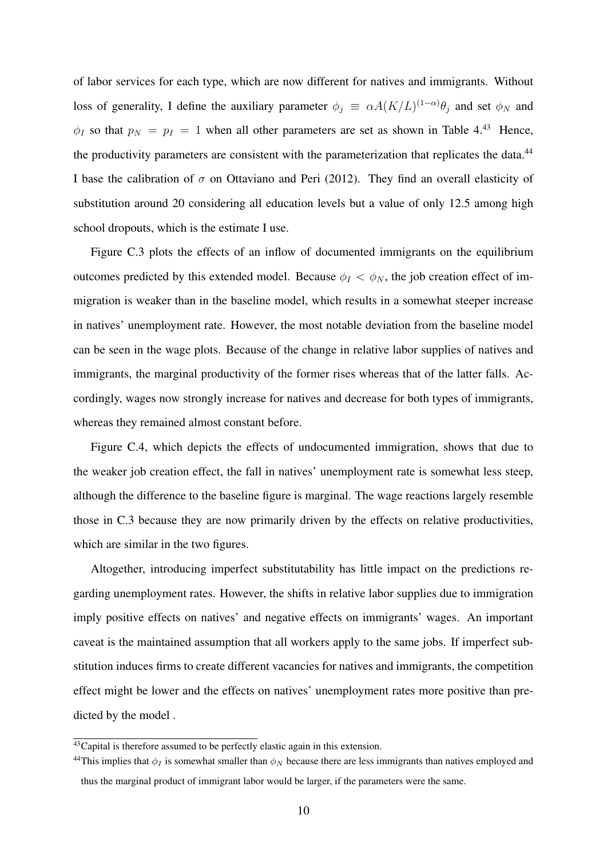of labor services for each type, which are now different for natives and immigrants. Without loss of generality, I define the auxiliary parameter  $\phi_j \equiv \alpha A (K/L)^{(1-\alpha)} \theta_j$  and set  $\phi_N$  and  $\phi$ *I* so that  $p_N = p_I = 1$  when all other parameters are set as shown in Table 4.<sup>43</sup> Hence, the productivity parameters are consistent with the parameterization that replicates the data.<sup>44</sup> I base the calibration of  $\sigma$  on Ottaviano and Peri (2012). They find an overall elasticity of substitution around 20 considering all education levels but a value of only 12.5 among high school dropouts, which is the estimate I use.

Figure C.3 plots the effects of an inflow of documented immigrants on the equilibrium outcomes predicted by this extended model. Because  $\phi_I < \phi_N$ , the job creation effect of immigration is weaker than in the baseline model, which results in a somewhat steeper increase in natives' unemployment rate. However, the most notable deviation from the baseline model can be seen in the wage plots. Because of the change in relative labor supplies of natives and immigrants, the marginal productivity of the former rises whereas that of the latter falls. Accordingly, wages now strongly increase for natives and decrease for both types of immigrants, whereas they remained almost constant before.

Figure C.4, which depicts the effects of undocumented immigration, shows that due to the weaker job creation effect, the fall in natives' unemployment rate is somewhat less steep, although the difference to the baseline figure is marginal. The wage reactions largely resemble those in C.3 because they are now primarily driven by the effects on relative productivities, which are similar in the two figures.

Altogether, introducing imperfect substitutability has little impact on the predictions regarding unemployment rates. However, the shifts in relative labor supplies due to immigration imply positive effects on natives' and negative effects on immigrants' wages. An important caveat is the maintained assumption that all workers apply to the same jobs. If imperfect substitution induces firms to create different vacancies for natives and immigrants, the competition effect might be lower and the effects on natives' unemployment rates more positive than predicted by the model .

<sup>&</sup>lt;sup>43</sup>Capital is therefore assumed to be perfectly elastic again in this extension.

<sup>&</sup>lt;sup>44</sup>This implies that  $\phi_I$  is somewhat smaller than  $\phi_N$  because there are less immigrants than natives employed and thus the marginal product of immigrant labor would be larger, if the parameters were the same.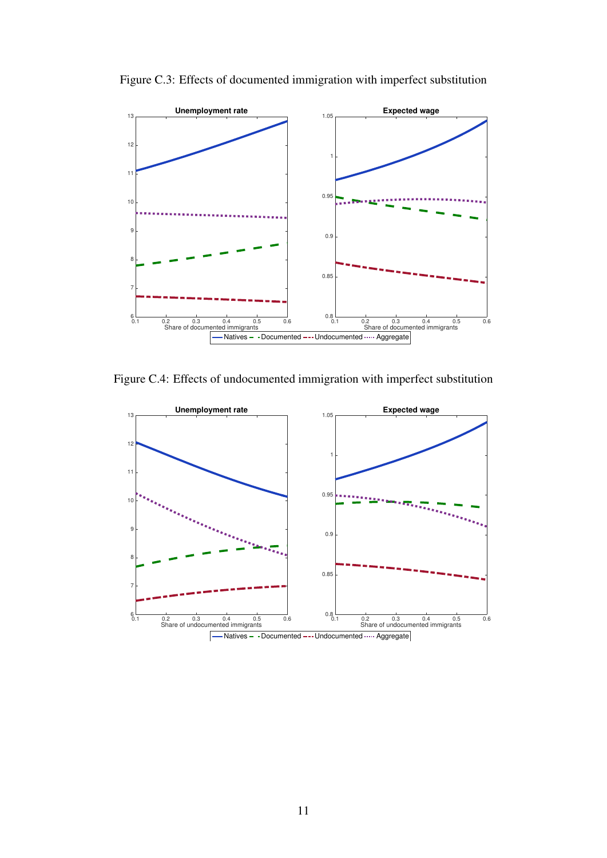

Figure C.3: Effects of documented immigration with imperfect substitution

Figure C.4: Effects of undocumented immigration with imperfect substitution

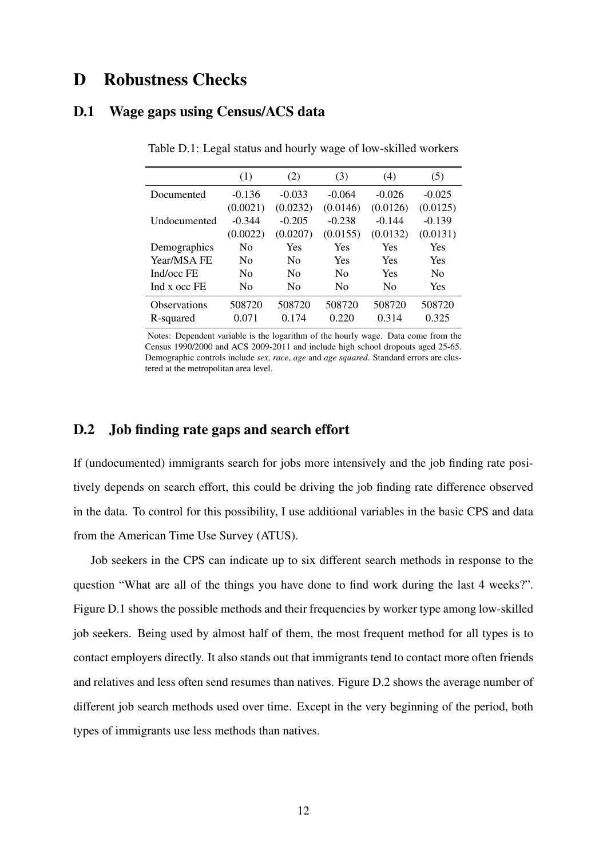### D Robustness Checks

#### D.1 Wage gaps using Census/ACS data

|                     | (1)            | (2)            | (3)            | (4)            | (5)            |
|---------------------|----------------|----------------|----------------|----------------|----------------|
| Documented          | $-0.136$       | $-0.033$       | $-0.064$       | $-0.026$       | $-0.025$       |
|                     | (0.0021)       | (0.0232)       | (0.0146)       | (0.0126)       | (0.0125)       |
| Undocumented        | $-0.344$       | $-0.205$       | $-0.238$       | $-0.144$       | $-0.139$       |
|                     | (0.0022)       | (0.0207)       | (0.0155)       | (0.0132)       | (0.0131)       |
| Demographics        | N <sub>0</sub> | Yes            | Yes            | Yes            | Yes            |
| Year/MSA FE         | N <sub>0</sub> | N <sub>0</sub> | Yes            | Yes            | Yes            |
| Ind/occ FE          | N <sub>0</sub> | N <sub>0</sub> | N <sub>0</sub> | Yes            | N <sub>0</sub> |
| Ind x occ FE        | N <sub>0</sub> | N <sub>0</sub> | N <sub>0</sub> | N <sub>0</sub> | Yes            |
| <b>Observations</b> | 508720         | 508720         | 508720         | 508720         | 508720         |
| R-squared           | 0.071          | 0.174          | 0.220          | 0.314          | 0.325          |

Table D.1: Legal status and hourly wage of low-skilled workers

Notes: Dependent variable is the logarithm of the hourly wage. Data come from the Census 1990/2000 and ACS 2009-2011 and include high school dropouts aged 25-65. Demographic controls include *sex*, *race*, *age* and *age squared*. Standard errors are clustered at the metropolitan area level.

#### D.2 Job finding rate gaps and search effort

If (undocumented) immigrants search for jobs more intensively and the job finding rate positively depends on search effort, this could be driving the job finding rate difference observed in the data. To control for this possibility, I use additional variables in the basic CPS and data from the American Time Use Survey (ATUS).

Job seekers in the CPS can indicate up to six different search methods in response to the question "What are all of the things you have done to find work during the last 4 weeks?". Figure D.1 shows the possible methods and their frequencies by worker type among low-skilled job seekers. Being used by almost half of them, the most frequent method for all types is to contact employers directly. It also stands out that immigrants tend to contact more often friends and relatives and less often send resumes than natives. Figure D.2 shows the average number of different job search methods used over time. Except in the very beginning of the period, both types of immigrants use less methods than natives.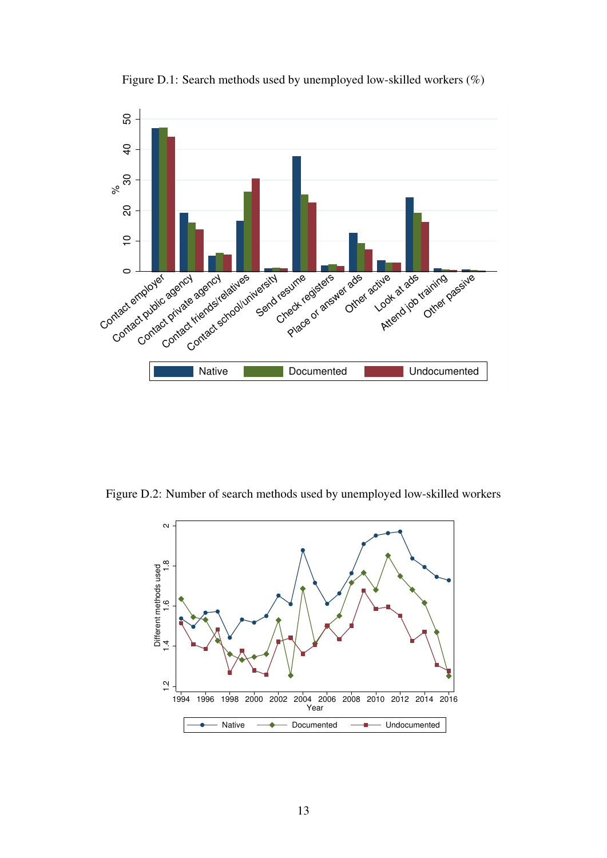

Figure D.1: Search methods used by unemployed low-skilled workers (%)

Figure D.2: Number of search methods used by unemployed low-skilled workers

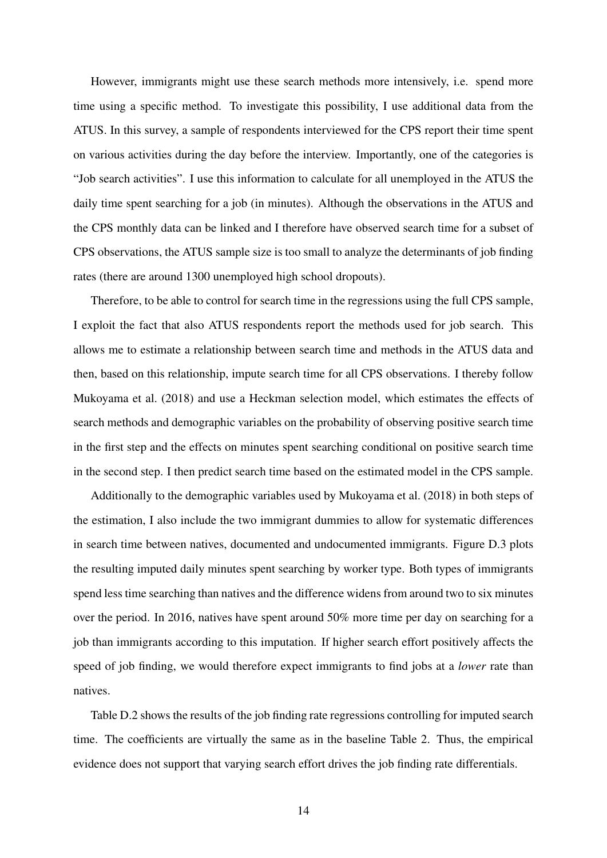However, immigrants might use these search methods more intensively, i.e. spend more time using a specific method. To investigate this possibility, I use additional data from the ATUS. In this survey, a sample of respondents interviewed for the CPS report their time spent on various activities during the day before the interview. Importantly, one of the categories is "Job search activities". I use this information to calculate for all unemployed in the ATUS the daily time spent searching for a job (in minutes). Although the observations in the ATUS and the CPS monthly data can be linked and I therefore have observed search time for a subset of CPS observations, the ATUS sample size is too small to analyze the determinants of job finding rates (there are around 1300 unemployed high school dropouts).

Therefore, to be able to control for search time in the regressions using the full CPS sample, I exploit the fact that also ATUS respondents report the methods used for job search. This allows me to estimate a relationship between search time and methods in the ATUS data and then, based on this relationship, impute search time for all CPS observations. I thereby follow Mukoyama et al. (2018) and use a Heckman selection model, which estimates the effects of search methods and demographic variables on the probability of observing positive search time in the first step and the effects on minutes spent searching conditional on positive search time in the second step. I then predict search time based on the estimated model in the CPS sample.

Additionally to the demographic variables used by Mukoyama et al. (2018) in both steps of the estimation, I also include the two immigrant dummies to allow for systematic differences in search time between natives, documented and undocumented immigrants. Figure D.3 plots the resulting imputed daily minutes spent searching by worker type. Both types of immigrants spend less time searching than natives and the difference widens from around two to six minutes over the period. In 2016, natives have spent around 50% more time per day on searching for a job than immigrants according to this imputation. If higher search effort positively affects the speed of job finding, we would therefore expect immigrants to find jobs at a *lower* rate than natives.

Table D.2 shows the results of the job finding rate regressions controlling for imputed search time. The coefficients are virtually the same as in the baseline Table 2. Thus, the empirical evidence does not support that varying search effort drives the job finding rate differentials.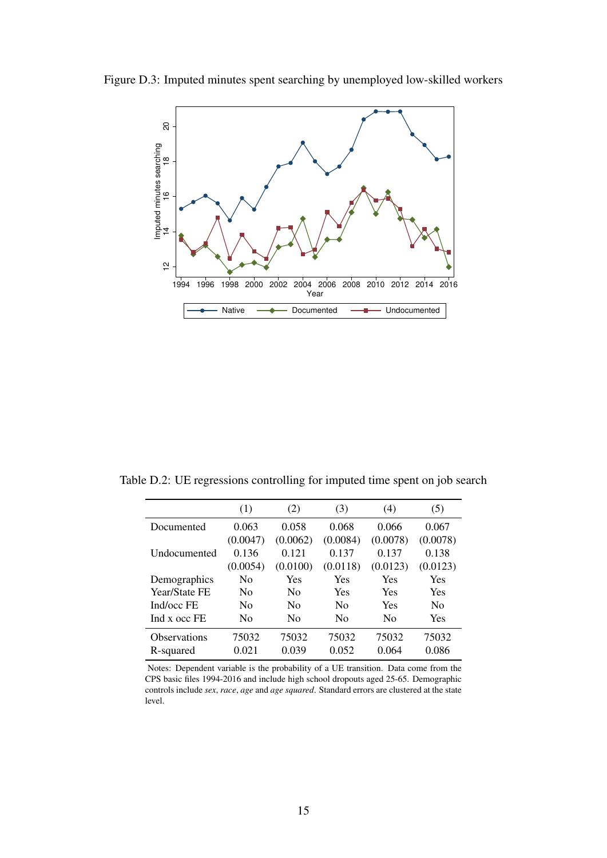Figure D.3: Imputed minutes spent searching by unemployed low-skilled workers



Table D.2: UE regressions controlling for imputed time spent on job search

|                      | (1)            | (2)            | (3)            | (4)            | (5)            |
|----------------------|----------------|----------------|----------------|----------------|----------------|
| Documented           | 0.063          | 0.058          | 0.068          | 0.066          | 0.067          |
|                      | (0.0047)       | (0.0062)       | (0.0084)       | (0.0078)       | (0.0078)       |
| Undocumented         | 0.136          | 0.121          | 0.137          | 0.137          | 0.138          |
|                      | (0.0054)       | (0.0100)       | (0.0118)       | (0.0123)       | (0.0123)       |
| Demographics         | No             | Yes            | Yes            | Yes            | Yes            |
| <b>Year/State FE</b> | No             | N <sub>0</sub> | Yes            | Yes            | Yes            |
| Ind/occ FE           | No             | N <sub>0</sub> | $\rm No$       | Yes            | N <sub>0</sub> |
| Ind x occ FE         | N <sub>0</sub> | N <sub>0</sub> | N <sub>0</sub> | N <sub>0</sub> | Yes            |
| <b>Observations</b>  | 75032          | 75032          | 75032          | 75032          | 75032          |
| R-squared            | 0.021          | 0.039          | 0.052          | 0.064          | 0.086          |

Notes: Dependent variable is the probability of a UE transition. Data come from the CPS basic files 1994-2016 and include high school dropouts aged 25-65. Demographic controls include *sex*, *race*, *age* and *age squared*. Standard errors are clustered at the state level.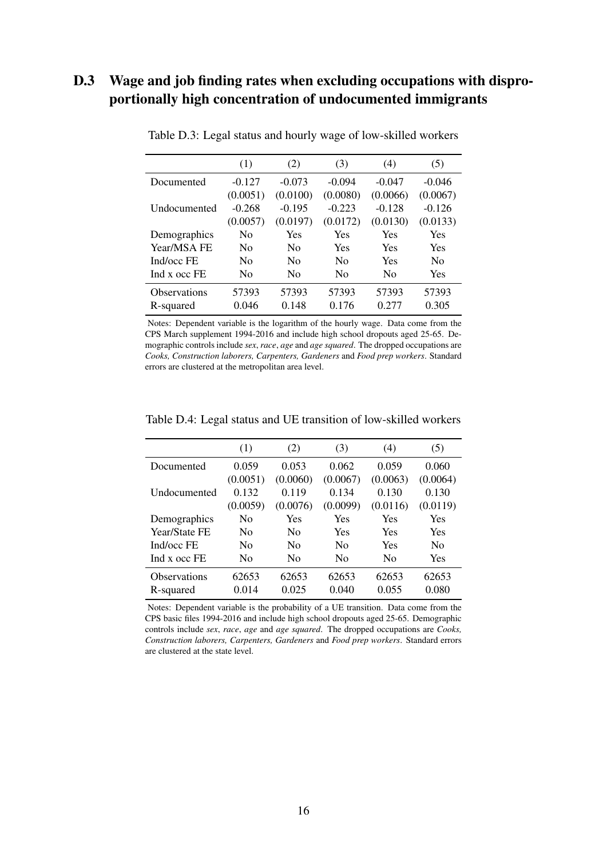### D.3 Wage and job finding rates when excluding occupations with disproportionally high concentration of undocumented immigrants

|                     | (1)            | (2)            | (3)            | (4)            | (5)            |
|---------------------|----------------|----------------|----------------|----------------|----------------|
| Documented          | $-0.127$       | $-0.073$       | $-0.094$       | $-0.047$       | $-0.046$       |
|                     | (0.0051)       | (0.0100)       | (0.0080)       | (0.0066)       | (0.0067)       |
| <b>Undocumented</b> | $-0.268$       | $-0.195$       | $-0.223$       | $-0.128$       | $-0.126$       |
|                     | (0.0057)       | (0.0197)       | (0.0172)       | (0.0130)       | (0.0133)       |
| Demographics        | No             | Yes            | Yes            | Yes            | Yes            |
| Year/MSA FE         | N <sub>0</sub> | N <sub>0</sub> | Yes            | Yes            | Yes            |
| Ind/occ FE          | N <sub>0</sub> | N <sub>0</sub> | N <sub>0</sub> | Yes            | N <sub>0</sub> |
| Ind x occ FE        | N <sub>0</sub> | N <sub>0</sub> | N <sub>0</sub> | N <sub>0</sub> | Yes            |
| Observations        | 57393          | 57393          | 57393          | 57393          | 57393          |
| R-squared           | 0.046          | 0.148          | 0.176          | 0.277          | 0.305          |

Table D.3: Legal status and hourly wage of low-skilled workers

Notes: Dependent variable is the logarithm of the hourly wage. Data come from the CPS March supplement 1994-2016 and include high school dropouts aged 25-65. Demographic controls include *sex*, *race*, *age* and *age squared*. The dropped occupations are *Cooks, Construction laborers, Carpenters, Gardeners* and *Food prep workers*. Standard errors are clustered at the metropolitan area level.

|                      | (1)            | (2)            | (3)      | (4)      | (5)            |
|----------------------|----------------|----------------|----------|----------|----------------|
| Documented           | 0.059          | 0.053          | 0.062    | 0.059    | 0.060          |
|                      | (0.0051)       | (0.0060)       | (0.0067) | (0.0063) | (0.0064)       |
| <b>Undocumented</b>  | 0.132          | 0.119          | 0.134    | 0.130    | 0.130          |
|                      | (0.0059)       | (0.0076)       | (0.0099) | (0.0116) | (0.0119)       |
| Demographics         | N <sub>0</sub> | Yes            | Yes      | Yes      | <b>Yes</b>     |
| <b>Year/State FE</b> | N <sub>0</sub> | N <sub>0</sub> | Yes      | Yes      | <b>Yes</b>     |
| Ind/occ FE           | N <sub>0</sub> | N <sub>0</sub> | $\rm No$ | Yes      | N <sub>0</sub> |
| Ind x occ FE         | N <sub>0</sub> | No             | $\rm No$ | No       | Yes            |
| <b>Observations</b>  | 62653          | 62653          | 62653    | 62653    | 62653          |
| R-squared            | 0.014          | 0.025          | 0.040    | 0.055    | 0.080          |

Table D.4: Legal status and UE transition of low-skilled workers

Notes: Dependent variable is the probability of a UE transition. Data come from the CPS basic files 1994-2016 and include high school dropouts aged 25-65. Demographic controls include *sex*, *race*, *age* and *age squared*. The dropped occupations are *Cooks, Construction laborers, Carpenters, Gardeners* and *Food prep workers*. Standard errors are clustered at the state level.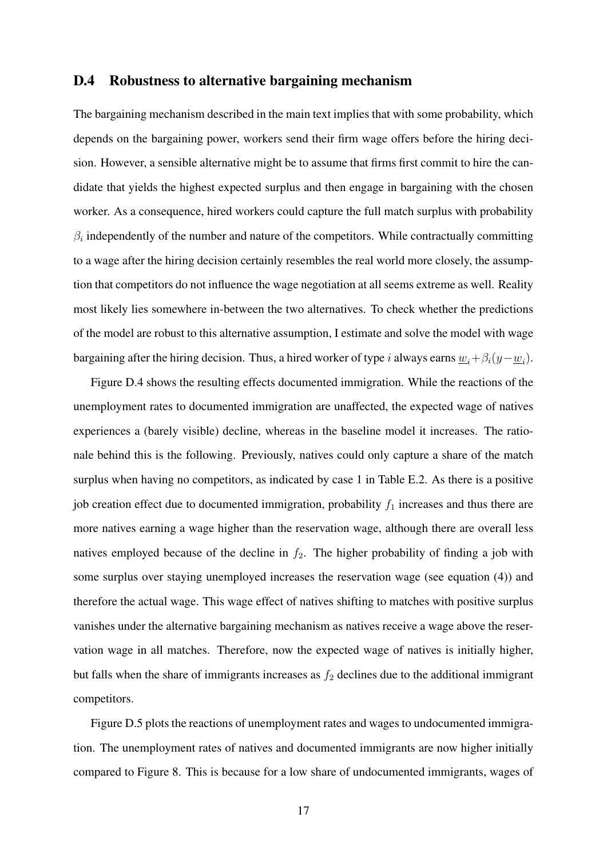#### D.4 Robustness to alternative bargaining mechanism

The bargaining mechanism described in the main text implies that with some probability, which depends on the bargaining power, workers send their firm wage offers before the hiring decision. However, a sensible alternative might be to assume that firms first commit to hire the candidate that yields the highest expected surplus and then engage in bargaining with the chosen worker. As a consequence, hired workers could capture the full match surplus with probability  $\beta_i$  independently of the number and nature of the competitors. While contractually committing to a wage after the hiring decision certainly resembles the real world more closely, the assumption that competitors do not influence the wage negotiation at all seems extreme as well. Reality most likely lies somewhere in-between the two alternatives. To check whether the predictions of the model are robust to this alternative assumption, I estimate and solve the model with wage bargaining after the hiring decision. Thus, a hired worker of type *i* always earns  $\underline{w}_i + \beta_i(y - \underline{w}_i)$ .

Figure D.4 shows the resulting effects documented immigration. While the reactions of the unemployment rates to documented immigration are unaffected, the expected wage of natives experiences a (barely visible) decline, whereas in the baseline model it increases. The rationale behind this is the following. Previously, natives could only capture a share of the match surplus when having no competitors, as indicated by case 1 in Table E.2. As there is a positive job creation effect due to documented immigration, probability  $f_1$  increases and thus there are more natives earning a wage higher than the reservation wage, although there are overall less natives employed because of the decline in  $f_2$ . The higher probability of finding a job with some surplus over staying unemployed increases the reservation wage (see equation (4)) and therefore the actual wage. This wage effect of natives shifting to matches with positive surplus vanishes under the alternative bargaining mechanism as natives receive a wage above the reservation wage in all matches. Therefore, now the expected wage of natives is initially higher, but falls when the share of immigrants increases as  $f_2$  declines due to the additional immigrant competitors.

Figure D.5 plots the reactions of unemployment rates and wages to undocumented immigration. The unemployment rates of natives and documented immigrants are now higher initially compared to Figure 8. This is because for a low share of undocumented immigrants, wages of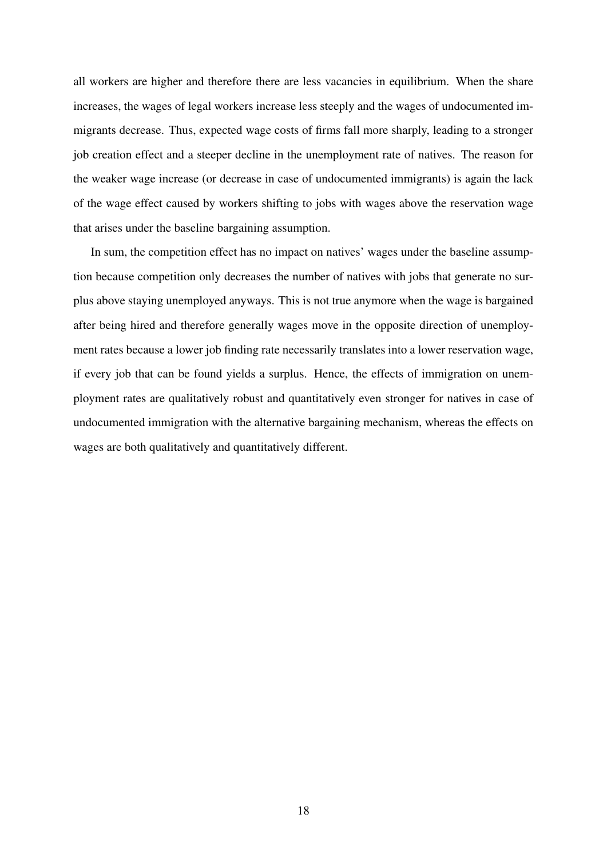all workers are higher and therefore there are less vacancies in equilibrium. When the share increases, the wages of legal workers increase less steeply and the wages of undocumented immigrants decrease. Thus, expected wage costs of firms fall more sharply, leading to a stronger job creation effect and a steeper decline in the unemployment rate of natives. The reason for the weaker wage increase (or decrease in case of undocumented immigrants) is again the lack of the wage effect caused by workers shifting to jobs with wages above the reservation wage that arises under the baseline bargaining assumption.

In sum, the competition effect has no impact on natives' wages under the baseline assumption because competition only decreases the number of natives with jobs that generate no surplus above staying unemployed anyways. This is not true anymore when the wage is bargained after being hired and therefore generally wages move in the opposite direction of unemployment rates because a lower job finding rate necessarily translates into a lower reservation wage, if every job that can be found yields a surplus. Hence, the effects of immigration on unemployment rates are qualitatively robust and quantitatively even stronger for natives in case of undocumented immigration with the alternative bargaining mechanism, whereas the effects on wages are both qualitatively and quantitatively different.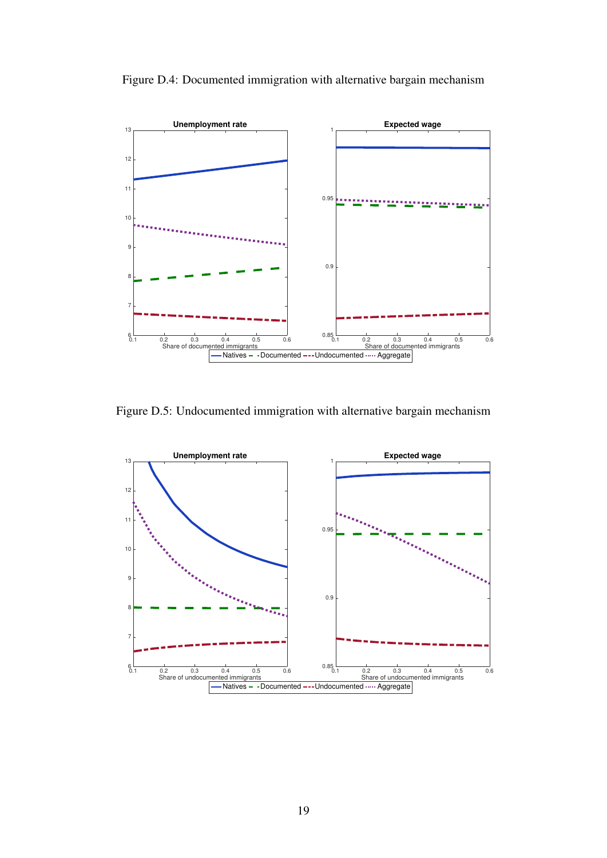

Figure D.4: Documented immigration with alternative bargain mechanism

Figure D.5: Undocumented immigration with alternative bargain mechanism

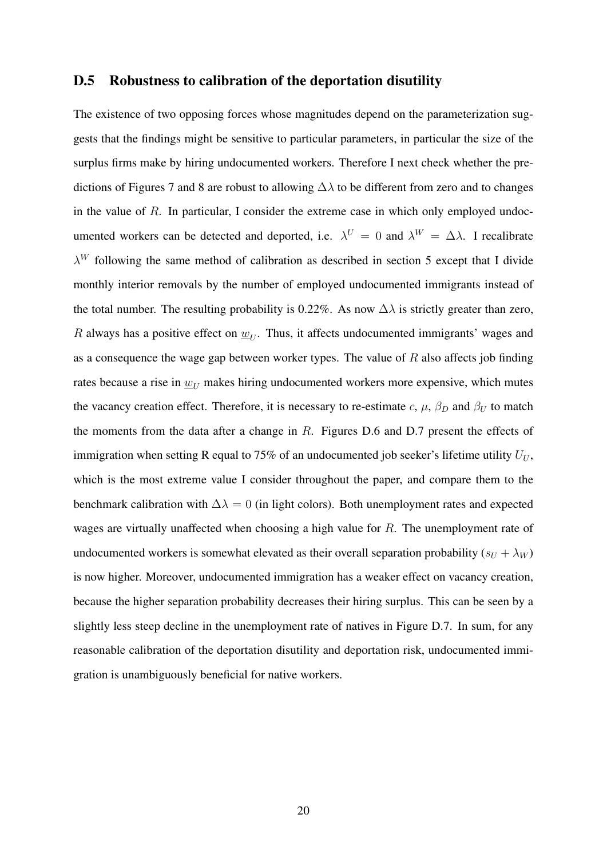#### D.5 Robustness to calibration of the deportation disutility

The existence of two opposing forces whose magnitudes depend on the parameterization suggests that the findings might be sensitive to particular parameters, in particular the size of the surplus firms make by hiring undocumented workers. Therefore I next check whether the predictions of Figures 7 and 8 are robust to allowing  $\Delta\lambda$  to be different from zero and to changes in the value of *R*. In particular, I consider the extreme case in which only employed undocumented workers can be detected and deported, i.e.  $\lambda^U = 0$  and  $\lambda^W = \Delta \lambda$ . I recalibrate  $\lambda^W$  following the same method of calibration as described in section 5 except that I divide monthly interior removals by the number of employed undocumented immigrants instead of the total number. The resulting probability is 0.22%. As now  $\Delta\lambda$  is strictly greater than zero, *R* always has a positive effect on  $w_{U}$ . Thus, it affects undocumented immigrants' wages and as a consequence the wage gap between worker types. The value of *R* also affects job finding rates because a rise in  $w_U$  makes hiring undocumented workers more expensive, which mutes the vacancy creation effect. Therefore, it is necessary to re-estimate  $c$ ,  $\mu$ ,  $\beta_D$  and  $\beta_U$  to match the moments from the data after a change in *R*. Figures D.6 and D.7 present the effects of immigration when setting R equal to 75% of an undocumented job seeker's lifetime utility  $U_U$ , which is the most extreme value I consider throughout the paper, and compare them to the benchmark calibration with  $\Delta \lambda = 0$  (in light colors). Both unemployment rates and expected wages are virtually unaffected when choosing a high value for *R*. The unemployment rate of undocumented workers is somewhat elevated as their overall separation probability  $(s_U + \lambda_W)$ is now higher. Moreover, undocumented immigration has a weaker effect on vacancy creation, because the higher separation probability decreases their hiring surplus. This can be seen by a slightly less steep decline in the unemployment rate of natives in Figure D.7. In sum, for any reasonable calibration of the deportation disutility and deportation risk, undocumented immigration is unambiguously beneficial for native workers.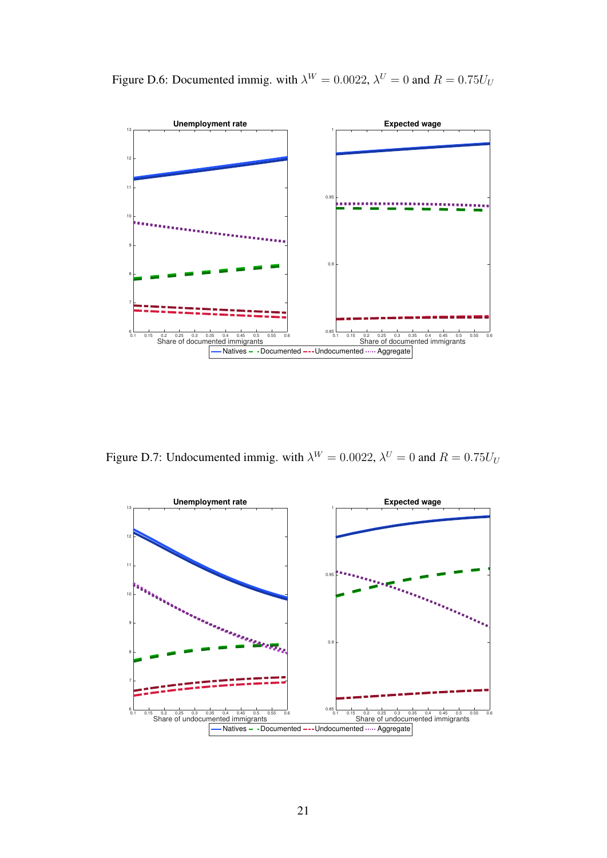

Figure D.6: Documented immig. with  $\lambda^W = 0.0022$ ,  $\lambda^U = 0$  and  $R = 0.75U_U$ 

Figure D.7: Undocumented immig. with  $\lambda^W = 0.0022$ ,  $\lambda^U = 0$  and  $R = 0.75U_U$ 

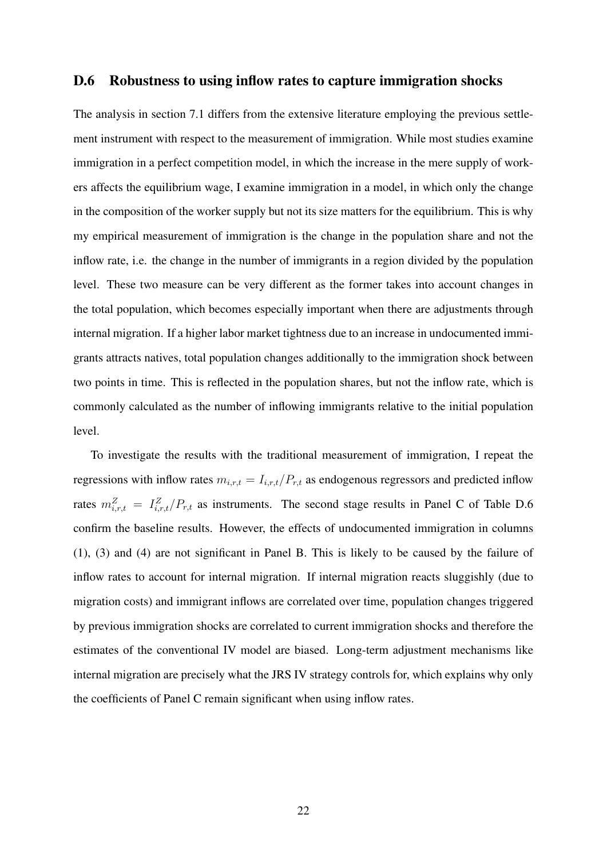#### D.6 Robustness to using inflow rates to capture immigration shocks

The analysis in section 7.1 differs from the extensive literature employing the previous settlement instrument with respect to the measurement of immigration. While most studies examine immigration in a perfect competition model, in which the increase in the mere supply of workers affects the equilibrium wage, I examine immigration in a model, in which only the change in the composition of the worker supply but not its size matters for the equilibrium. This is why my empirical measurement of immigration is the change in the population share and not the inflow rate, i.e. the change in the number of immigrants in a region divided by the population level. These two measure can be very different as the former takes into account changes in the total population, which becomes especially important when there are adjustments through internal migration. If a higher labor market tightness due to an increase in undocumented immigrants attracts natives, total population changes additionally to the immigration shock between two points in time. This is reflected in the population shares, but not the inflow rate, which is commonly calculated as the number of inflowing immigrants relative to the initial population level.

To investigate the results with the traditional measurement of immigration, I repeat the regressions with inflow rates  $m_{i,r,t} = I_{i,r,t}/P_{r,t}$  as endogenous regressors and predicted inflow rates  $m_{i,r,t}^Z = I_{i,r,t}^Z/P_{r,t}$  as instruments. The second stage results in Panel C of Table D.6 confirm the baseline results. However, the effects of undocumented immigration in columns (1), (3) and (4) are not significant in Panel B. This is likely to be caused by the failure of inflow rates to account for internal migration. If internal migration reacts sluggishly (due to migration costs) and immigrant inflows are correlated over time, population changes triggered by previous immigration shocks are correlated to current immigration shocks and therefore the estimates of the conventional IV model are biased. Long-term adjustment mechanisms like internal migration are precisely what the JRS IV strategy controls for, which explains why only the coefficients of Panel C remain significant when using inflow rates.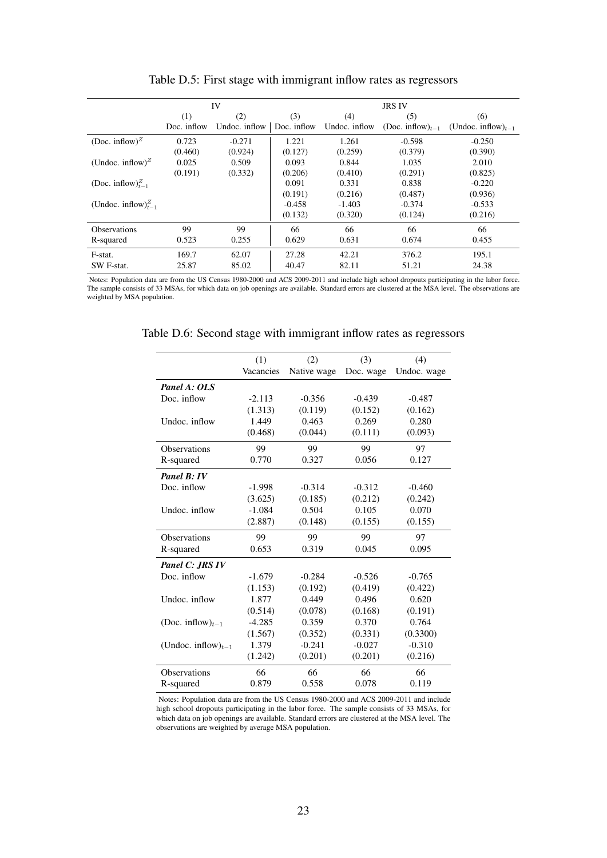|                                           |             | IV            |             | <b>JRS IV</b> |                                           |                          |  |
|-------------------------------------------|-------------|---------------|-------------|---------------|-------------------------------------------|--------------------------|--|
|                                           | (1)         | (2)           | (3)         | (4)           | (5)                                       | (6)                      |  |
|                                           | Doc. inflow | Undoc. inflow | Doc. inflow | Undoc. inflow | (Doc. inflow) <sub><math>t-1</math></sub> | (Undoc. inflow) $_{t-1}$ |  |
| (Doc. inflow) <sup><math>Z</math></sup>   | 0.723       | $-0.271$      | 1.221       | 1.261         | $-0.598$                                  | $-0.250$                 |  |
|                                           | (0.460)     | (0.924)       | (0.127)     | (0.259)       | (0.379)                                   | (0.390)                  |  |
| (Undoc. inflow) <sup><math>Z</math></sup> | 0.025       | 0.509         | 0.093       | 0.844         | 1.035                                     | 2.010                    |  |
|                                           | (0.191)     | (0.332)       | (0.206)     | (0.410)       | (0.291)                                   | (0.825)                  |  |
| (Doc. inflow) $_{t=1}^{Z}$                |             |               | 0.091       | 0.331         | 0.838                                     | $-0.220$                 |  |
|                                           |             |               | (0.191)     | (0.216)       | (0.487)                                   | (0.936)                  |  |
| (Undoc. inflow) $_{t=1}^{Z}$              |             |               | $-0.458$    | $-1.403$      | $-0.374$                                  | $-0.533$                 |  |
|                                           |             |               | (0.132)     | (0.320)       | (0.124)                                   | (0.216)                  |  |
| <b>Observations</b>                       | 99          | 99            | 66          | 66            | 66                                        | 66                       |  |
| R-squared                                 | 0.523       | 0.255         | 0.629       | 0.631         | 0.674                                     | 0.455                    |  |
| F-stat.                                   | 169.7       | 62.07         | 27.28       | 42.21         | 376.2                                     | 195.1                    |  |
| SW F-stat.                                | 25.87       | 85.02         | 40.47       | 82.11         | 51.21                                     | 24.38                    |  |

Table D.5: First stage with immigrant inflow rates as regressors

Notes: Population data are from the US Census 1980-2000 and ACS 2009-2011 and include high school dropouts participating in the labor force. The sample consists of 33 MSAs, for which data on job openings are available. Standard errors are clustered at the MSA level. The observations are weighted by MSA population.

|                                           | (1)       | (2)         | (3)       | (4)         |
|-------------------------------------------|-----------|-------------|-----------|-------------|
|                                           | Vacancies | Native wage | Doc. wage | Undoc. wage |
| Panel A: OLS                              |           |             |           |             |
| Doc. inflow                               | $-2.113$  | $-0.356$    | $-0.439$  | $-0.487$    |
|                                           | (1.313)   | (0.119)     | (0.152)   | (0.162)     |
| Undoc. inflow                             | 1.449     | 0.463       | 0.269     | 0.280       |
|                                           | (0.468)   | (0.044)     | (0.111)   | (0.093)     |
| <b>Observations</b>                       | 99        | 99          | 99        | 97          |
| R-squared                                 | 0.770     | 0.327       | 0.056     | 0.127       |
| Panel B: IV                               |           |             |           |             |
| Doc. inflow                               | $-1.998$  | $-0.314$    | $-0.312$  | $-0.460$    |
|                                           | (3.625)   | (0.185)     | (0.212)   | (0.242)     |
| Undoc. inflow                             | $-1.084$  | 0.504       | 0.105     | 0.070       |
|                                           | (2.887)   | (0.148)     | (0.155)   | (0.155)     |
| <b>Observations</b>                       | 99        | 99          | 99        | 97          |
| R-squared                                 | 0.653     | 0.319       | 0.045     | 0.095       |
| Panel C: JRS IV                           |           |             |           |             |
| Doc. inflow                               | $-1.679$  | $-0.284$    | $-0.526$  | $-0.765$    |
|                                           | (1.153)   | (0.192)     | (0.419)   | (0.422)     |
| Undoc. inflow                             | 1.877     | 0.449       | 0.496     | 0.620       |
|                                           | (0.514)   | (0.078)     | (0.168)   | (0.191)     |
| (Doc. inflow) <sub><math>t-1</math></sub> | $-4.285$  | 0.359       | 0.370     | 0.764       |
|                                           | (1.567)   | (0.352)     | (0.331)   | (0.3300)    |
| (Undoc. inflow) $_{t-1}$                  | 1.379     | $-0.241$    | $-0.027$  | $-0.310$    |
|                                           | (1.242)   | (0.201)     | (0.201)   | (0.216)     |
| Observations                              | 66        | 66          | 66        | 66          |
| R-squared                                 | 0.879     | 0.558       | 0.078     | 0.119       |

Table D.6: Second stage with immigrant inflow rates as regressors

Notes: Population data are from the US Census 1980-2000 and ACS 2009-2011 and include high school dropouts participating in the labor force. The sample consists of 33 MSAs, for which data on job openings are available. Standard errors are clustered at the MSA level. The observations are weighted by average MSA population.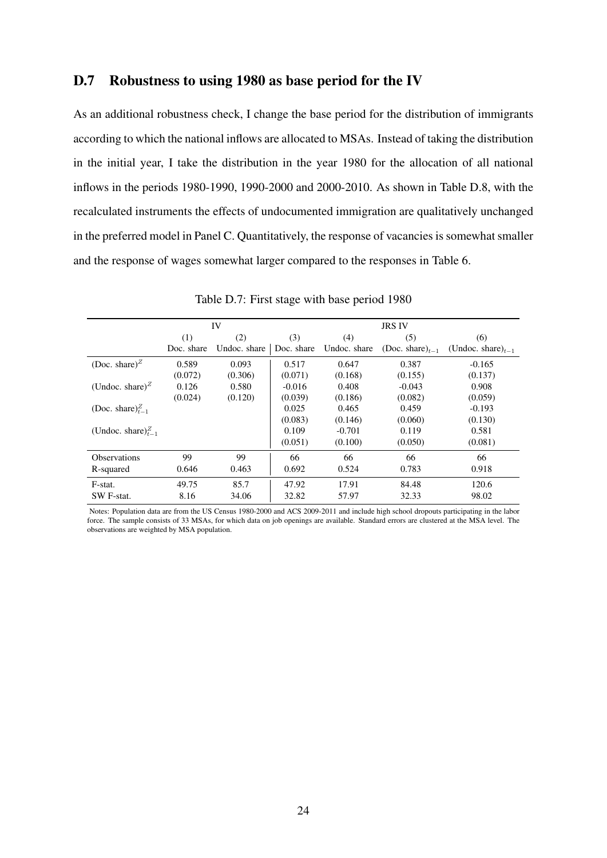#### D.7 Robustness to using 1980 as base period for the IV

As an additional robustness check, I change the base period for the distribution of immigrants according to which the national inflows are allocated to MSAs. Instead of taking the distribution in the initial year, I take the distribution in the year 1980 for the allocation of all national inflows in the periods 1980-1990, 1990-2000 and 2000-2010. As shown in Table D.8, with the recalculated instruments the effects of undocumented immigration are qualitatively unchanged in the preferred model in Panel C. Quantitatively, the response of vacancies is somewhat smaller and the response of wages somewhat larger compared to the responses in Table 6.

|                                          |            | IV           |            | <b>JRS IV</b> |                       |                         |  |
|------------------------------------------|------------|--------------|------------|---------------|-----------------------|-------------------------|--|
|                                          | (1)        | (2)          | (3)        | (4)           | (5)                   | (6)                     |  |
|                                          | Doc. share | Undoc. share | Doc. share | Undoc. share  | (Doc. share) $_{t=1}$ | (Undoc. share) $_{t=1}$ |  |
| (Doc. share) <sup><math>Z</math></sup>   | 0.589      | 0.093        | 0.517      | 0.647         | 0.387                 | $-0.165$                |  |
|                                          | (0.072)    | (0.306)      | (0.071)    | (0.168)       | (0.155)               | (0.137)                 |  |
| (Undoc. share) <sup><math>Z</math></sup> | 0.126      | 0.580        | $-0.016$   | 0.408         | $-0.043$              | 0.908                   |  |
|                                          | (0.024)    | (0.120)      | (0.039)    | (0.186)       | (0.082)               | (0.059)                 |  |
| (Doc. share) $_{t=1}^{Z}$                |            |              | 0.025      | 0.465         | 0.459                 | $-0.193$                |  |
|                                          |            |              | (0.083)    | (0.146)       | (0.060)               | (0.130)                 |  |
| (Undoc. share) $_{t=1}^{Z}$              |            |              | 0.109      | $-0.701$      | 0.119                 | 0.581                   |  |
|                                          |            |              | (0.051)    | (0.100)       | (0.050)               | (0.081)                 |  |
| <b>Observations</b>                      | 99         | 99           | 66         | 66            | 66                    | 66                      |  |
| R-squared                                | 0.646      | 0.463        | 0.692      | 0.524         | 0.783                 | 0.918                   |  |
| F-stat.                                  | 49.75      | 85.7         | 47.92      | 17.91         | 84.48                 | 120.6                   |  |
| SW F-stat.                               | 8.16       | 34.06        | 32.82      | 57.97         | 32.33                 | 98.02                   |  |

Table D.7: First stage with base period 1980

Notes: Population data are from the US Census 1980-2000 and ACS 2009-2011 and include high school dropouts participating in the labor force. The sample consists of 33 MSAs, for which data on job openings are available. Standard errors are clustered at the MSA level. The observations are weighted by MSA population.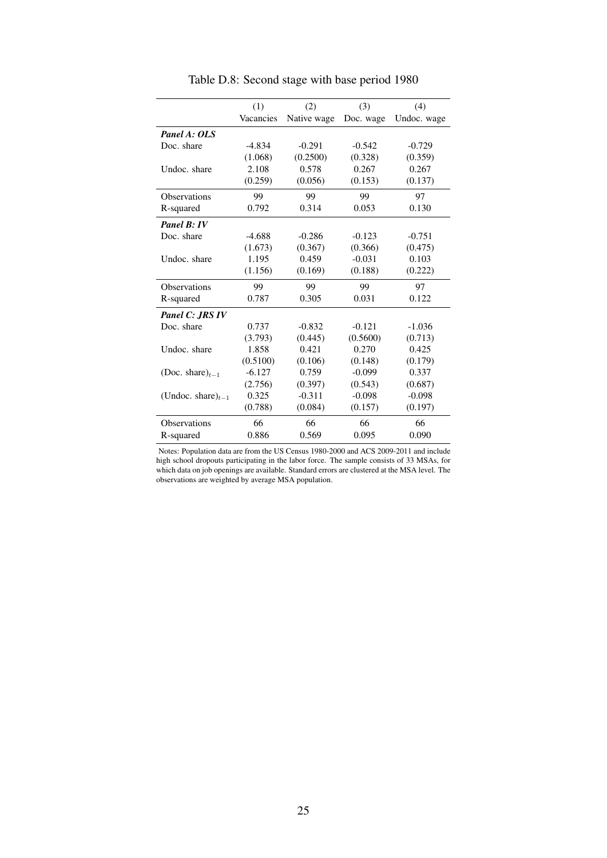|                         | (1)       | (2)         | (3)       | (4)         |
|-------------------------|-----------|-------------|-----------|-------------|
|                         | Vacancies | Native wage | Doc. wage | Undoc. wage |
| Panel A: OLS            |           |             |           |             |
| Doc. share              | $-4.834$  | $-0.291$    | $-0.542$  | $-0.729$    |
|                         | (1.068)   | (0.2500)    | (0.328)   | (0.359)     |
| Undoc. share            | 2.108     | 0.578       | 0.267     | 0.267       |
|                         | (0.259)   | (0.056)     | (0.153)   | (0.137)     |
| <b>Observations</b>     | 99        | 99          | 99        | 97          |
| R-squared               | 0.792     | 0.314       | 0.053     | 0.130       |
| Panel B: IV             |           |             |           |             |
| Doc. share              | $-4.688$  | $-0.286$    | $-0.123$  | $-0.751$    |
|                         | (1.673)   | (0.367)     | (0.366)   | (0.475)     |
| Undoc. share            | 1.195     | 0.459       | $-0.031$  | 0.103       |
|                         | (1.156)   | (0.169)     | (0.188)   | (0.222)     |
| <b>Observations</b>     | 99        | 99          | 99        | 97          |
| R-squared               | 0.787     | 0.305       | 0.031     | 0.122       |
| Panel C: JRS IV         |           |             |           |             |
| Doc. share              | 0.737     | $-0.832$    | $-0.121$  | $-1.036$    |
|                         | (3.793)   | (0.445)     | (0.5600)  | (0.713)     |
| Undoc. share            | 1.858     | 0.421       | 0.270     | 0.425       |
|                         | (0.5100)  | (0.106)     | (0.148)   | (0.179)     |
| (Doc. share) $_{t-1}$   | $-6.127$  | 0.759       | $-0.099$  | 0.337       |
|                         | (2.756)   | (0.397)     | (0.543)   | (0.687)     |
| (Undoc. share) $_{t-1}$ | 0.325     | $-0.311$    | $-0.098$  | $-0.098$    |
|                         | (0.788)   | (0.084)     | (0.157)   | (0.197)     |
| <b>Observations</b>     | 66        | 66          | 66        | 66          |
| R-squared               | 0.886     | 0.569       | 0.095     | 0.090       |

Table D.8: Second stage with base period 1980

Notes: Population data are from the US Census 1980-2000 and ACS 2009-2011 and include high school dropouts participating in the labor force. The sample consists of 33 MSAs, for which data on job openings are available. Standard errors are clustered at the MSA level. The observations are weighted by average MSA population.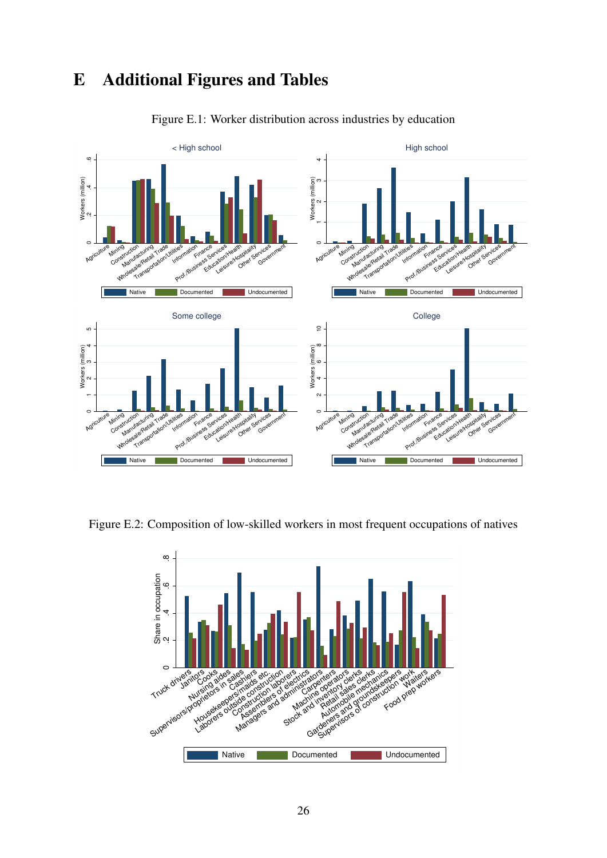# E Additional Figures and Tables



Figure E.1: Worker distribution across industries by education

Figure E.2: Composition of low-skilled workers in most frequent occupations of natives

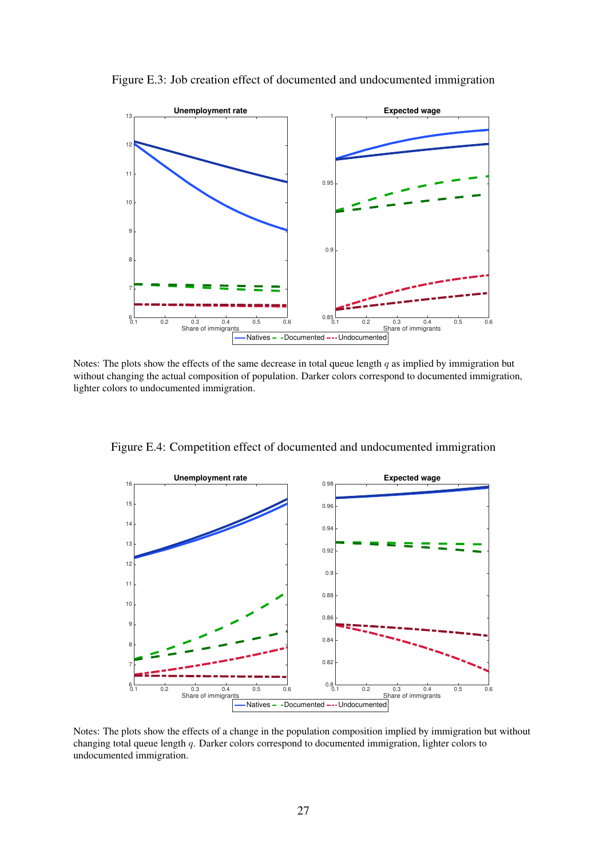

Figure E.3: Job creation effect of documented and undocumented immigration

Notes: The plots show the effects of the same decrease in total queue length *q* as implied by immigration but without changing the actual composition of population. Darker colors correspond to documented immigration, lighter colors to undocumented immigration.

Figure E.4: Competition effect of documented and undocumented immigration



Notes: The plots show the effects of a change in the population composition implied by immigration but without changing total queue length *q*. Darker colors correspond to documented immigration, lighter colors to undocumented immigration.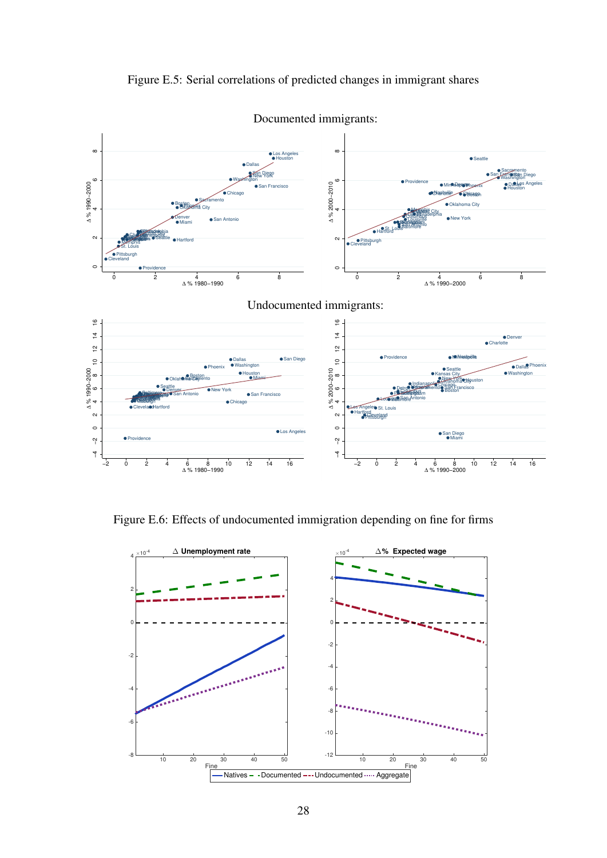



Figure E.6: Effects of undocumented immigration depending on fine for firms

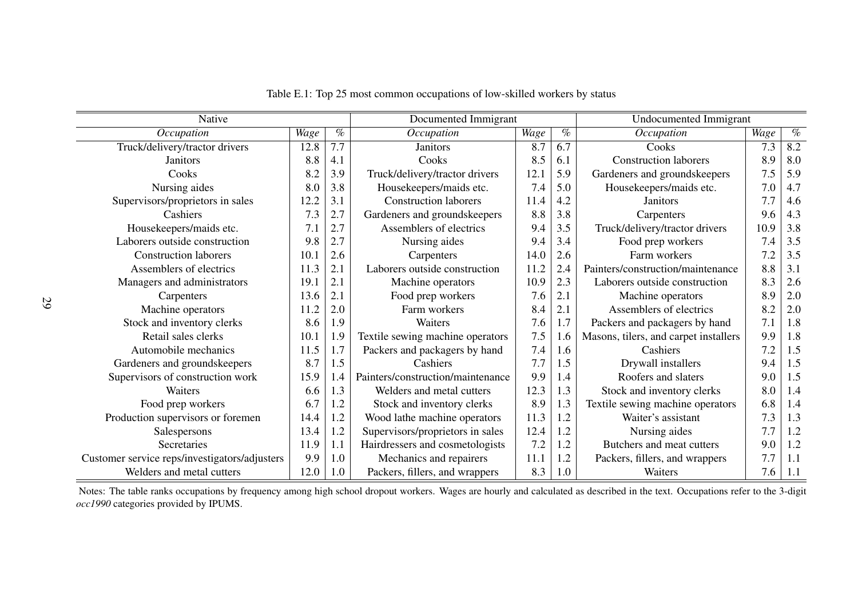| Native                                        | Documented Immigrant |      |                                   |      |      | <b>Undocumented Immigrant</b>         |      |         |
|-----------------------------------------------|----------------------|------|-----------------------------------|------|------|---------------------------------------|------|---------|
| Occupation                                    | Wage                 | $\%$ | Occupation                        | Wage | $\%$ | Occupation                            | Wage | $\%$    |
| Truck/delivery/tractor drivers                | 12.8                 | 7.7  | <b>Janitors</b>                   | 8.7  | 6.7  | Cooks                                 | 7.3  | 8.2     |
| <b>Janitors</b>                               | 8.8                  | 4.1  | Cooks                             | 8.5  | 6.1  | <b>Construction laborers</b>          | 8.9  | 8.0     |
| Cooks                                         | 8.2                  | 3.9  | Truck/delivery/tractor drivers    | 12.1 | 5.9  | Gardeners and groundskeepers          | 7.5  | 5.9     |
| Nursing aides                                 | 8.0                  | 3.8  | Housekeepers/maids etc.           | 7.4  | 5.0  | Housekeepers/maids etc.               | 7.0  | 4.7     |
| Supervisors/proprietors in sales              | 12.2                 | 3.1  | <b>Construction laborers</b>      | 11.4 | 4.2  | <b>Janitors</b>                       | 7.7  | 4.6     |
| Cashiers                                      | 7.3                  | 2.7  | Gardeners and groundskeepers      | 8.8  | 3.8  | Carpenters                            | 9.6  | 4.3     |
| Housekeepers/maids etc.                       | 7.1                  | 2.7  | Assemblers of electrics           | 9.4  | 3.5  | Truck/delivery/tractor drivers        | 10.9 | 3.8     |
| Laborers outside construction                 | 9.8                  | 2.7  | Nursing aides                     | 9.4  | 3.4  | Food prep workers                     | 7.4  | 3.5     |
| <b>Construction laborers</b>                  | 10.1                 | 2.6  | Carpenters                        | 14.0 | 2.6  | Farm workers                          | 7.2  | 3.5     |
| Assemblers of electrics                       | 11.3                 | 2.1  | Laborers outside construction     | 11.2 | 2.4  | Painters/construction/maintenance     | 8.8  | 3.1     |
| Managers and administrators                   | 19.1                 | 2.1  | Machine operators                 | 10.9 | 2.3  | Laborers outside construction         | 8.3  | 2.6     |
| Carpenters                                    | 13.6                 | 2.1  | Food prep workers                 | 7.6  | 2.1  | Machine operators                     | 8.9  | 2.0     |
| Machine operators                             | 11.2                 | 2.0  | Farm workers                      | 8.4  | 2.1  | Assemblers of electrics               | 8.2  | $2.0\,$ |
| Stock and inventory clerks                    | 8.6                  | 1.9  | Waiters                           | 7.6  | 1.7  | Packers and packagers by hand         | 7.1  | 1.8     |
| Retail sales clerks                           | 10.1                 | 1.9  | Textile sewing machine operators  | 7.5  | 1.6  | Masons, tilers, and carpet installers | 9.9  | 1.8     |
| Automobile mechanics                          | 11.5                 | 1.7  | Packers and packagers by hand     | 7.4  | 1.6  | Cashiers                              | 7.2  | 1.5     |
| Gardeners and groundskeepers                  | 8.7                  | 1.5  | Cashiers                          | 7.7  | 1.5  | Drywall installers                    | 9.4  | 1.5     |
| Supervisors of construction work              | 15.9                 | 1.4  | Painters/construction/maintenance | 9.9  | 1.4  | Roofers and slaters                   | 9.0  | 1.5     |
| Waiters                                       | 6.6                  | 1.3  | Welders and metal cutters         | 12.3 | 1.3  | Stock and inventory clerks            | 8.0  | 1.4     |
| Food prep workers                             | 6.7                  | 1.2  | Stock and inventory clerks        | 8.9  | 1.3  | Textile sewing machine operators      | 6.8  | 1.4     |
| Production supervisors or foremen             | 14.4                 | 1.2  | Wood lathe machine operators      | 11.3 | 1.2  | Waiter's assistant                    | 7.3  | 1.3     |
| Salespersons                                  | 13.4                 | 1.2  | Supervisors/proprietors in sales  | 12.4 | 1.2  | Nursing aides                         | 7.7  | 1.2     |
| Secretaries                                   | 11.9                 | 1.1  | Hairdressers and cosmetologists   | 7.2  | 1.2  | Butchers and meat cutters             | 9.0  | 1.2     |
| Customer service reps/investigators/adjusters | 9.9                  | 1.0  | Mechanics and repairers           | 11.1 | 1.2  | Packers, fillers, and wrappers        | 7.7  | 1.1     |
| Welders and metal cutters                     | 12.0                 | 1.0  | Packers, fillers, and wrappers    | 8.3  | 1.0  | Waiters                               | 7.6  | 1.1     |

Table E.1: Top 25 most common occupations of low-skilled workers by status

Notes: The table ranks occupations by frequency among high school dropout workers. Wages are hourly and calculated as described in the text. Occupations refer to the 3-digit *occ1990* categories provided by IPUMS.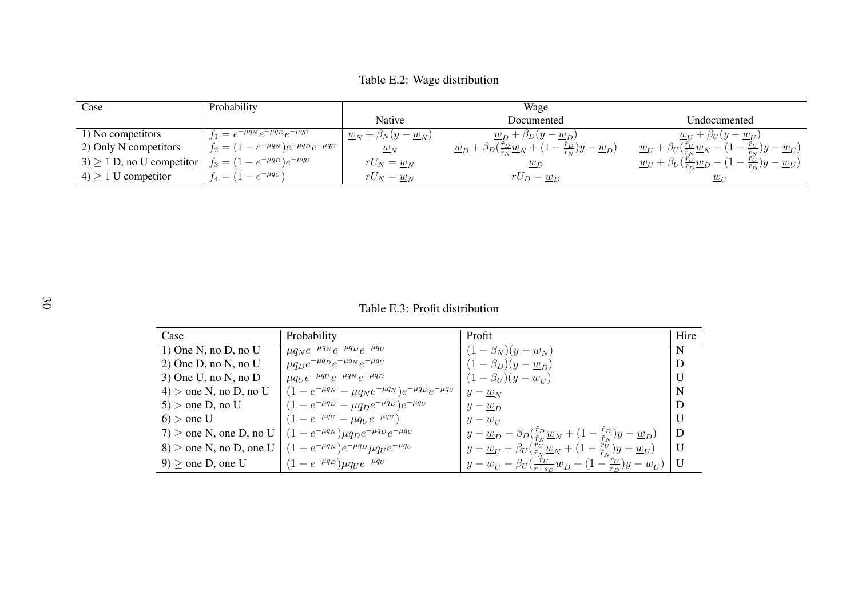Table E.2: Wage distribution

| Case                          | Probability                                        |                                                  | Wage                                                                                                                 |                                                                                                                                                     |
|-------------------------------|----------------------------------------------------|--------------------------------------------------|----------------------------------------------------------------------------------------------------------------------|-----------------------------------------------------------------------------------------------------------------------------------------------------|
|                               |                                                    | <b>Native</b>                                    | Documented                                                                                                           | Undocumented                                                                                                                                        |
| 1) No competitors             | $f_1 = e^{-\mu q_N} e^{-\mu q_D} e^{-\mu q_U}$     | $\underline{w}_N + \beta_N(y - \underline{w}_N)$ | $\underline{w}_D + \beta_D(y - \underline{w}_D)$                                                                     | $\underline{w}_U + \beta_U(y - \underline{w}_U)$                                                                                                    |
| 2) Only N competitors         | $f_2 = (1 - e^{-\mu q_N})e^{-\mu q_D}e^{-\mu q_U}$ | $\underline{w}_N$                                | $\underline{w}_D + \beta_D(\frac{r_D}{\tilde{r}_N}\underline{w}_N + (1-\frac{r_D}{\tilde{r}_N})y - \underline{w}_D)$ | $\underline{w}_U + \beta_U(\tfrac{r_U}{\tilde{r}_N}\underline{w}_N - (1-\tfrac{r_U}{\tilde{r}_N})y - \underline{w}_U)$                              |
| $3) \ge 1$ D, no U competitor | $f_3 = (1 - e^{-\mu q_D})e^{-\mu q_U}$             | $rU_N = \underline{w}_N$                         | $\underline{w}_D$                                                                                                    | $\underline{w}_U + \beta_U \left( \frac{r_U}{\tilde{r}_D} \underline{w}_D - \left( 1 - \frac{r_U}{\tilde{r}_D} \right) y - \underline{w}_U \right)$ |
| $4 \geq 1$ U competitor       | $f_4 = (1 - e^{-\mu q_U})$                         | $rU_N = \underline{w}_N$                         | $rU_D = \underline{w}_D$                                                                                             | $\underline{w}_{U}$                                                                                                                                 |

Table E.3: Profit distribution

| Case                        | Probability                                                                        | Profit                                                                                                                                 | Hire         |
|-----------------------------|------------------------------------------------------------------------------------|----------------------------------------------------------------------------------------------------------------------------------------|--------------|
| 1) One N, no D, no U        | $\mu q_N e^{-\mu q_N} e^{-\mu q_D} e^{-\mu q_U}$                                   | $-\beta_{N}(y-w_{N})$                                                                                                                  | N            |
| $2)$ One D, no N, no U      | $\mu q_D e^{-\mu q_D} e^{-\mu q_N} e^{-\mu q_U}$                                   | $(1 - \beta_D)(y - \underline{w}_D)$                                                                                                   | D            |
| $3)$ One U, no N, no D      | $\mu q_U e^{-\mu q_U} e^{-\mu q_N} e^{-\mu q_D}$                                   | $(1 - \beta_U)(y - \underline{w}_U)$                                                                                                   |              |
| $4$ ) > one N, no D, no U   | $(1 - e^{-\mu q_N} - \mu q_N e^{-\mu q_N}) e^{-\mu q_D} e^{-\mu q_U}$              | $y - \underline{w}_N$                                                                                                                  | N            |
| $5$ > one D, no U           | $(1 - e^{-\mu q_D} - \mu q_D e^{-\mu q_D})e^{-\mu q_U}$                            | $y - w_D$                                                                                                                              | D            |
| $6$ > one U                 | $(1 - e^{-\mu q_U} - \mu q_U e^{-\mu q_U})$                                        | $y-w_{II}$                                                                                                                             |              |
| $7) \ge$ one N, one D, no U | $(1 - e^{-\mu q_N}) \mu q_D e^{-\mu q_D} e^{-\mu q_U}$                             | $y - \underline{w}_D - \beta_D(\frac{\dot{r}_D}{\tilde{r}_N}\underline{w}_N + (1 - \frac{\dot{r}_D}{\tilde{r}_N})y - \underline{w}_D)$ | D            |
|                             | 8) $\geq$ one N, no D, one U $(1 - e^{-\mu q_N})e^{-\mu q_D} \mu q_U e^{-\mu q_U}$ | $y - \underline{w}_U - \beta_U(\frac{\dot{r}_U}{\tilde{r}_N}\underline{w}_N + (1 - \frac{\dot{r}_U}{\tilde{r}_N})y - \underline{w}_U)$ | $\mathbf{U}$ |
| $9 \ge$ one D, one U        | $(1 - e^{-\mu q_D}) \mu q_U e^{-\mu q_U}$                                          | $y - \underline{w}_U - \beta_U(\frac{r_U}{r + s_D}\underline{w}_D + (1 - \frac{r_U}{\tilde{r}_D})y - \underline{w}_U)$                 | $\mathbf{U}$ |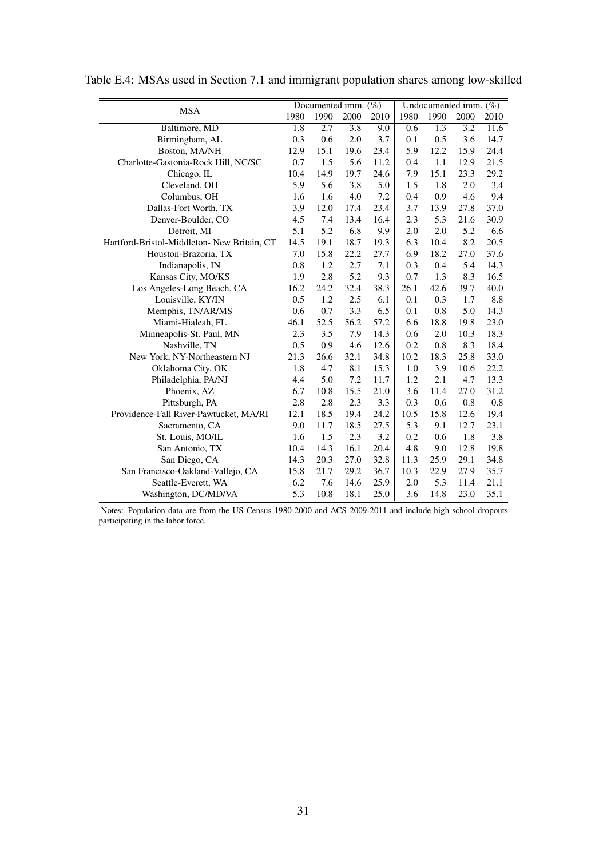| <b>MSA</b>                                  | Documented imm. (%) |      |      |      | Undocumented imm. (%) |      |      |      |
|---------------------------------------------|---------------------|------|------|------|-----------------------|------|------|------|
|                                             | 1980                | 1990 | 2000 | 2010 | 1980                  | 1990 | 2000 | 2010 |
| Baltimore, MD                               | 1.8                 | 2.7  | 3.8  | 9.0  | 0.6                   | 1.3  | 3.2  | 11.6 |
| Birmingham, AL                              | 0.3                 | 0.6  | 2.0  | 3.7  | 0.1                   | 0.5  | 3.6  | 14.7 |
| Boston, MA/NH                               | 12.9                | 15.1 | 19.6 | 23.4 | 5.9                   | 12.2 | 15.9 | 24.4 |
| Charlotte-Gastonia-Rock Hill, NC/SC         | 0.7                 | 1.5  | 5.6  | 11.2 | 0.4                   | 1.1  | 12.9 | 21.5 |
| Chicago, IL                                 | 10.4                | 14.9 | 19.7 | 24.6 | 7.9                   | 15.1 | 23.3 | 29.2 |
| Cleveland, OH                               | 5.9                 | 5.6  | 3.8  | 5.0  | 1.5                   | 1.8  | 2.0  | 3.4  |
| Columbus, OH                                | 1.6                 | 1.6  | 4.0  | 7.2  | 0.4                   | 0.9  | 4.6  | 9.4  |
| Dallas-Fort Worth, TX                       | 3.9                 | 12.0 | 17.4 | 23.4 | 3.7                   | 13.9 | 27.8 | 37.0 |
| Denver-Boulder, CO                          | 4.5                 | 7.4  | 13.4 | 16.4 | 2.3                   | 5.3  | 21.6 | 30.9 |
| Detroit, MI                                 | 5.1                 | 5.2  | 6.8  | 9.9  | 2.0                   | 2.0  | 5.2  | 6.6  |
| Hartford-Bristol-Middleton- New Britain, CT | 14.5                | 19.1 | 18.7 | 19.3 | 6.3                   | 10.4 | 8.2  | 20.5 |
| Houston-Brazoria, TX                        | 7.0                 | 15.8 | 22.2 | 27.7 | 6.9                   | 18.2 | 27.0 | 37.6 |
| Indianapolis, IN                            | 0.8                 | 1.2  | 2.7  | 7.1  | 0.3                   | 0.4  | 5.4  | 14.3 |
| Kansas City, MO/KS                          | 1.9                 | 2.8  | 5.2  | 9.3  | 0.7                   | 1.3  | 8.3  | 16.5 |
| Los Angeles-Long Beach, CA                  | 16.2                | 24.2 | 32.4 | 38.3 | 26.1                  | 42.6 | 39.7 | 40.0 |
| Louisville, KY/IN                           | 0.5                 | 1.2  | 2.5  | 6.1  | 0.1                   | 0.3  | 1.7  | 8.8  |
| Memphis, TN/AR/MS                           | 0.6                 | 0.7  | 3.3  | 6.5  | 0.1                   | 0.8  | 5.0  | 14.3 |
| Miami-Hialeah, FL                           | 46.1                | 52.5 | 56.2 | 57.2 | 6.6                   | 18.8 | 19.8 | 23.0 |
| Minneapolis-St. Paul, MN                    | 2.3                 | 3.5  | 7.9  | 14.3 | 0.6                   | 2.0  | 10.3 | 18.3 |
| Nashville, TN                               | 0.5                 | 0.9  | 4.6  | 12.6 | 0.2                   | 0.8  | 8.3  | 18.4 |
| New York, NY-Northeastern NJ                | 21.3                | 26.6 | 32.1 | 34.8 | 10.2                  | 18.3 | 25.8 | 33.0 |
| Oklahoma City, OK                           | 1.8                 | 4.7  | 8.1  | 15.3 | 1.0                   | 3.9  | 10.6 | 22.2 |
| Philadelphia, PA/NJ                         | 4.4                 | 5.0  | 7.2  | 11.7 | 1.2                   | 2.1  | 4.7  | 13.3 |
| Phoenix, AZ                                 | 6.7                 | 10.8 | 15.5 | 21.0 | 3.6                   | 11.4 | 27.0 | 31.2 |
| Pittsburgh, PA                              | 2.8                 | 2.8  | 2.3  | 3.3  | 0.3                   | 0.6  | 0.8  | 0.8  |
| Providence-Fall River-Pawtucket, MA/RI      | 12.1                | 18.5 | 19.4 | 24.2 | 10.5                  | 15.8 | 12.6 | 19.4 |
| Sacramento, CA                              | 9.0                 | 11.7 | 18.5 | 27.5 | 5.3                   | 9.1  | 12.7 | 23.1 |
| St. Louis, MO/IL                            | 1.6                 | 1.5  | 2.3  | 3.2  | 0.2                   | 0.6  | 1.8  | 3.8  |
| San Antonio, TX                             | 10.4                | 14.3 | 16.1 | 20.4 | 4.8                   | 9.0  | 12.8 | 19.8 |
| San Diego, CA                               | 14.3                | 20.3 | 27.0 | 32.8 | 11.3                  | 25.9 | 29.1 | 34.8 |
| San Francisco-Oakland-Vallejo, CA           | 15.8                | 21.7 | 29.2 | 36.7 | 10.3                  | 22.9 | 27.9 | 35.7 |
| Seattle-Everett, WA                         | 6.2                 | 7.6  | 14.6 | 25.9 | 2.0                   | 5.3  | 11.4 | 21.1 |
| Washington, DC/MD/VA                        | 5.3                 | 10.8 | 18.1 | 25.0 | 3.6                   | 14.8 | 23.0 | 35.1 |

Table E.4: MSAs used in Section 7.1 and immigrant population shares among low-skilled

Notes: Population data are from the US Census 1980-2000 and ACS 2009-2011 and include high school dropouts participating in the labor force.